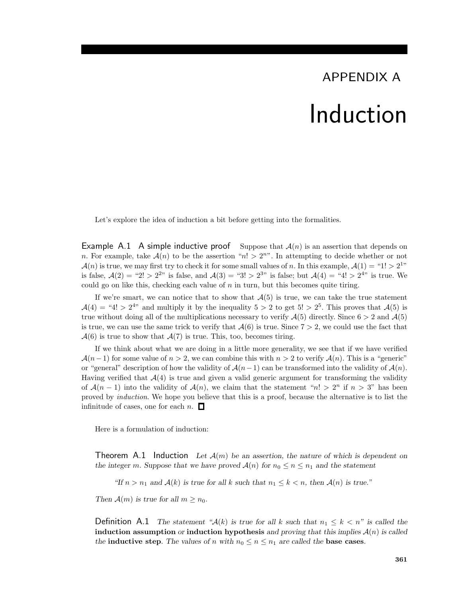## APPENDIX A

## Induction

Let's explore the idea of induction a bit before getting into the formalities.

**Example A.1** A simple inductive proof Suppose that  $A(n)$  is an assertion that depends on n. For example, take  $\mathcal{A}(n)$  to be the assertion " $n! > 2^{n}$ ". In attempting to decide whether or not  $\mathcal{A}(n)$  is true, we may first try to check it for some small values of n. In this example,  $\mathcal{A}(1) = "1! > 2^{1}$ " is false,  $\mathcal{A}(2) = 2^{2}$  is false, and  $\mathcal{A}(3) = 3! > 2^{3}$  is false; but  $\mathcal{A}(4) = 4! > 2^{4}$  is true. We could go on like this, checking each value of  $n$  in turn, but this becomes quite tiring.

If we're smart, we can notice that to show that  $A(5)$  is true, we can take the true statement  $\mathcal{A}(4) = 4! > 2^{4}$  and multiply it by the inequality  $5 > 2$  to get  $5! > 2^5$ . This proves that  $\mathcal{A}(5)$  is true without doing all of the multiplications necessary to verify  $\mathcal{A}(5)$  directly. Since  $6 > 2$  and  $\mathcal{A}(5)$ is true, we can use the same trick to verify that  $\mathcal{A}(6)$  is true. Since  $7 > 2$ , we could use the fact that  $\mathcal{A}(6)$  is true to show that  $\mathcal{A}(7)$  is true. This, too, becomes tiring.

If we think about what we are doing in a little more generality, we see that if we have verified  $\mathcal{A}(n-1)$  for some value of  $n > 2$ , we can combine this with  $n > 2$  to verify  $\mathcal{A}(n)$ . This is a "generic" or "general" description of how the validity of  $\mathcal{A}(n-1)$  can be transformed into the validity of  $\mathcal{A}(n)$ . Having verified that  $\mathcal{A}(4)$  is true and given a valid generic argument for transforming the validity of  $\mathcal{A}(n-1)$  into the validity of  $\mathcal{A}(n)$ , we claim that the statement "n! > 2<sup>n</sup> if  $n > 3$ " has been proved by *induction*. We hope you believe that this is a proof, because the alternative is to list the infinitude of cases, one for each  $n. \Box$ 

Here is a formulation of induction:

**Theorem A.1 Induction** Let  $\mathcal{A}(m)$  be an assertion, the nature of which is dependent on the integer m. Suppose that we have proved  $\mathcal{A}(n)$  for  $n_0 \leq n \leq n_1$  and the statement

"If  $n > n_1$  and  $\mathcal{A}(k)$  is true for all k such that  $n_1 \leq k < n$ , then  $\mathcal{A}(n)$  is true."

Then  $\mathcal{A}(m)$  is true for all  $m > n_0$ .

**Definition** A.1 The statement " $A(k)$  is true for all k such that  $n_1 \leq k < n$ " is called the induction assumption or induction hypothesis and proving that this implies  $A(n)$  is called the inductive step. The values of n with  $n_0 \le n \le n_1$  are called the base cases.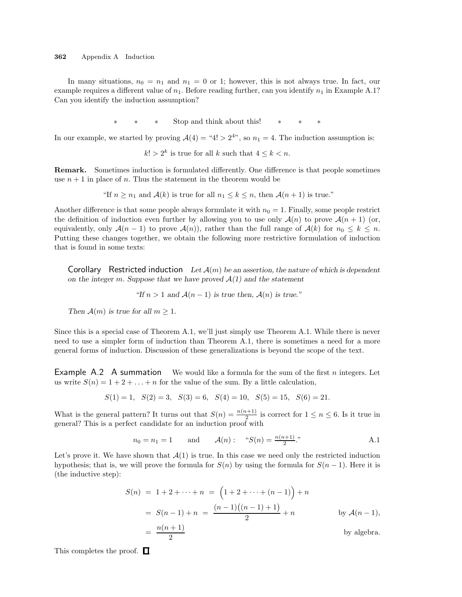In many situations,  $n_0 = n_1$  and  $n_1 = 0$  or 1; however, this is not always true. In fact, our example requires a different value of  $n_1$ . Before reading further, can you identify  $n_1$  in Example A.1? Can you identify the induction assumption?

∗ ∗ ∗ Stop and think about this! ∗ ∗ ∗

In our example, we started by proving  $\mathcal{A}(4) = 4! > 2^{4}$ , so  $n_1 = 4$ . The induction assumption is:

 $k! > 2^k$  is true for all k such that  $4 \leq k < n$ .

Remark. Sometimes induction is formulated differently. One difference is that people sometimes use  $n + 1$  in place of n. Thus the statement in the theorem would be

"If  $n \geq n_1$  and  $\mathcal{A}(k)$  is true for all  $n_1 \leq k \leq n$ , then  $\mathcal{A}(n+1)$  is true."

Another difference is that some people always formulate it with  $n_0 = 1$ . Finally, some people restrict the definition of induction even further by allowing you to use only  $\mathcal{A}(n)$  to prove  $\mathcal{A}(n+1)$  (or, equivalently, only  $\mathcal{A}(n-1)$  to prove  $\mathcal{A}(n)$ , rather than the full range of  $\mathcal{A}(k)$  for  $n_0 \leq k \leq n$ . Putting these changes together, we obtain the following more restrictive formulation of induction that is found in some texts:

Corollary Restricted induction Let  $A(m)$  be an assertion, the nature of which is dependent on the integer m. Suppose that we have proved  $A(1)$  and the statement

"If  $n > 1$  and  $\mathcal{A}(n-1)$  is true then,  $\mathcal{A}(n)$  is true."

Then  $\mathcal{A}(m)$  is true for all  $m \geq 1$ .

Since this is a special case of Theorem A.1, we'll just simply use Theorem A.1. While there is never need to use a simpler form of induction than Theorem A.1, there is sometimes a need for a more general forms of induction. Discussion of these generalizations is beyond the scope of the text.

**Example A.2** A summation We would like a formula for the sum of the first n integers. Let us write  $S(n) = 1 + 2 + \ldots + n$  for the value of the sum. By a little calculation,

$$
S(1) = 1
$$
,  $S(2) = 3$ ,  $S(3) = 6$ ,  $S(4) = 10$ ,  $S(5) = 15$ ,  $S(6) = 21$ .

What is the general pattern? It turns out that  $S(n) = \frac{n(n+1)}{2}$  is correct for  $1 \le n \le 6$ . Is it true in general? This is a perfect candidate for an induction proof with

$$
n_0 = n_1 = 1
$$
 and  $\mathcal{A}(n):$  " $S(n) = \frac{n(n+1)}{2}$ ." A.1

Let's prove it. We have shown that  $\mathcal{A}(1)$  is true. In this case we need only the restricted induction hypothesis; that is, we will prove the formula for  $S(n)$  by using the formula for  $S(n-1)$ . Here it is (the inductive step):

$$
S(n) = 1 + 2 + \dots + n = \left(1 + 2 + \dots + (n - 1)\right) + n
$$
  
=  $S(n - 1) + n = \frac{(n - 1)((n - 1) + 1)}{2} + n$  by  $A(n - 1)$ ,  
=  $\frac{n(n + 1)}{2}$  by algebra.

This completes the proof.  $\Box$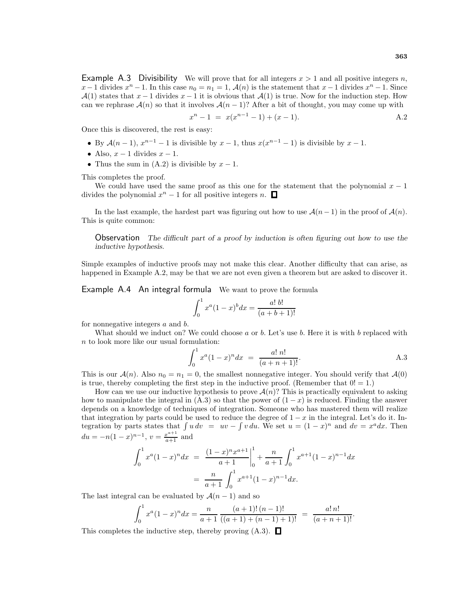**Example A.3 Divisibility** We will prove that for all integers  $x > 1$  and all positive integers n,  $x-1$  divides  $x^{n}-1$ . In this case  $n_0 = n_1 = 1$ ,  $\mathcal{A}(n)$  is the statement that  $x-1$  divides  $x^{n}-1$ . Since  $\mathcal{A}(1)$  states that  $x - 1$  divides  $x - 1$  it is obvious that  $\mathcal{A}(1)$  is true. Now for the induction step. How can we rephrase  $\mathcal{A}(n)$  so that it involves  $\mathcal{A}(n-1)$ ? After a bit of thought, you may come up with

$$
x^{n} - 1 = x(x^{n-1} - 1) + (x - 1).
$$
 A.2

Once this is discovered, the rest is easy:

- By  $\mathcal{A}(n-1), x^{n-1}-1$  is divisible by  $x-1$ , thus  $x(x^{n-1}-1)$  is divisible by  $x-1$ .
- Also,  $x 1$  divides  $x 1$ .
- Thus the sum in  $(A.2)$  is divisible by  $x 1$ .

This completes the proof.

We could have used the same proof as this one for the statement that the polynomial  $x - 1$ divides the polynomial  $x^n - 1$  for all positive integers n.

In the last example, the hardest part was figuring out how to use  $\mathcal{A}(n-1)$  in the proof of  $\mathcal{A}(n)$ . This is quite common:

Observation The difficult part of a proof by induction is often figuring out how to use the inductive hypothesis.

Simple examples of inductive proofs may not make this clear. Another difficulty that can arise, as happened in Example A.2, may be that we are not even given a theorem but are asked to discover it.

Example A.4 An integral formula We want to prove the formula

$$
\int_0^1 x^a (1-x)^b dx = \frac{a! \ b!}{(a+b+1)!}
$$

for nonnegative integers a and b.

What should we induct on? We could choose  $a$  or  $b$ . Let's use  $b$ . Here it is with  $b$  replaced with n to look more like our usual formulation:

$$
\int_0^1 x^a (1-x)^n dx = \frac{a! \; n!}{(a+n+1)!}.
$$

This is our  $\mathcal{A}(n)$ . Also  $n_0 = n_1 = 0$ , the smallest nonnegative integer. You should verify that  $\mathcal{A}(0)$ is true, thereby completing the first step in the inductive proof. (Remember that  $0! = 1$ .)

How can we use our inductive hypothesis to prove  $\mathcal{A}(n)$ ? This is practically equivalent to asking how to manipulate the integral in  $(A.3)$  so that the power of  $(1-x)$  is reduced. Finding the answer depends on a knowledge of techniques of integration. Someone who has mastered them will realize that integration by parts could be used to reduce the degree of  $1 - x$  in the integral. Let's do it. Integration by parts states that  $\int u dv = uv - \int v du$ . We set  $u = (1 - x)^n$  and  $dv = x^a dx$ . Then  $du = -n(1-x)^{n-1}, v = \frac{x^{a+1}}{a+1}$  and

$$
\int_0^1 x^a (1-x)^n dx = \left. \frac{(1-x)^n x^{a+1}}{a+1} \right|_0^1 + \frac{n}{a+1} \int_0^1 x^{a+1} (1-x)^{n-1} dx
$$

$$
= \frac{n}{a+1} \int_0^1 x^{a+1} (1-x)^{n-1} dx.
$$

The last integral can be evaluated by  $\mathcal{A}(n-1)$  and so

$$
\int_0^1 x^a (1-x)^n dx = \frac{n}{a+1} \frac{(a+1)!(n-1)!}{((a+1)+(n-1)+1)!} = \frac{a! \, n!}{(a+n+1)!}.
$$

This completes the inductive step, thereby proving  $(A.3)$ .  $\Box$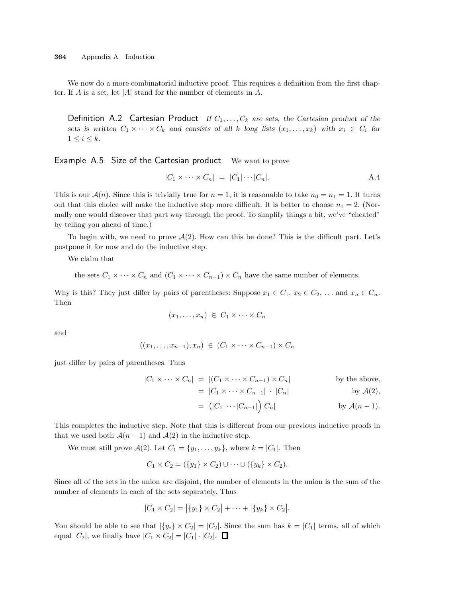We now do a more combinatorial inductive proof. This requires a definition from the first chapter. If A is a set, let |A| stand for the number of elements in A.

Definition A.2 Cartesian Product If  $C_1, \ldots, C_k$  are sets, the Cartesian product of the sets is written  $C_1 \times \cdots \times C_k$  and consists of all k long lists  $(x_1, \ldots, x_k)$  with  $x_i \in C_i$  for  $1 \leq i \leq k$ .

Example A.5 Size of the Cartesian product We want to prove

$$
|C_1 \times \cdots \times C_n| = |C_1| \cdots |C_n|.
$$
 A.4

This is our  $\mathcal{A}(n)$ . Since this is trivially true for  $n = 1$ , it is reasonable to take  $n_0 = n_1 = 1$ . It turns out that this choice will make the inductive step more difficult. It is better to choose  $n_1 = 2$ . (Normally one would discover that part way through the proof. To simplify things a bit, we've "cheated" by telling you ahead of time.)

To begin with, we need to prove  $\mathcal{A}(2)$ . How can this be done? This is the difficult part. Let's postpone it for now and do the inductive step.

We claim that

the sets  $C_1 \times \cdots \times C_n$  and  $(C_1 \times \cdots \times C_{n-1}) \times C_n$  have the same number of elements.

Why is this? They just differ by pairs of parentheses: Suppose  $x_1 \in C_1$ ,  $x_2 \in C_2$ , ... and  $x_n \in C_n$ . Then

$$
(x_1,\ldots,x_n)\in C_1\times\cdots\times C_n
$$

and

$$
((x_1,\ldots,x_{n-1}),x_n)\in (C_1\times\cdots\times C_{n-1})\times C_n
$$

just differ by pairs of parentheses. Thus

$$
|C_1 \times \cdots \times C_n| = |(C_1 \times \cdots \times C_{n-1}) \times C_n|
$$
 by the above,  
\n
$$
= |C_1 \times \cdots \times C_{n-1}| \cdot |C_n|
$$
 by  $\mathcal{A}(2)$ ,  
\n
$$
= (|C_1| \cdots |C_{n-1}|) |C_n|
$$
 by  $\mathcal{A}(n-1)$ .

This completes the inductive step. Note that this is different from our previous inductive proofs in that we used both  $\mathcal{A}(n-1)$  and  $\mathcal{A}(2)$  in the inductive step.

We must still prove  $\mathcal{A}(2)$ . Let  $C_1 = \{y_1, \ldots, y_k\}$ , where  $k = |C_1|$ . Then

$$
C_1 \times C_2 = (\{y_1\} \times C_2) \cup \cdots \cup (\{y_k\} \times C_2).
$$

Since all of the sets in the union are disjoint, the number of elements in the union is the sum of the number of elements in each of the sets separately. Thus

$$
|C_1 \times C_2| = |\{y_1\} \times C_2| + \cdots + |\{y_k\} \times C_2|.
$$

You should be able to see that  $|\{y_i\} \times C_2| = |C_2|$ . Since the sum has  $k = |C_1|$  terms, all of which equal  $|C_2|$ , we finally have  $|C_1 \times C_2| = |C_1| \cdot |C_2|$ .  $\Box$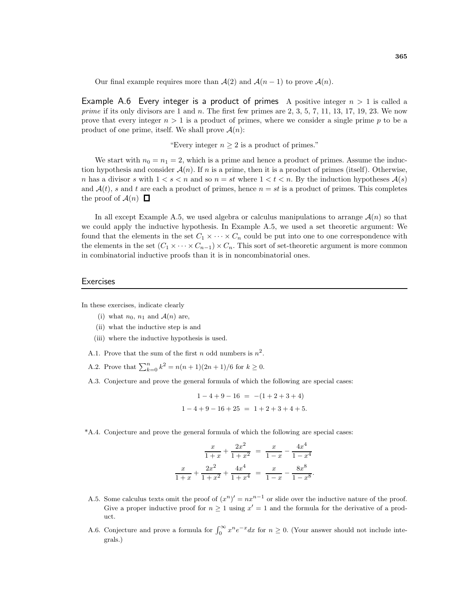Our final example requires more than  $\mathcal{A}(2)$  and  $\mathcal{A}(n-1)$  to prove  $\mathcal{A}(n)$ .

Example A.6 Every integer is a product of primes A positive integer  $n > 1$  is called a *prime* if its only divisors are 1 and n. The first few primes are  $2, 3, 5, 7, 11, 13, 17, 19, 23$ . We now prove that every integer  $n > 1$  is a product of primes, where we consider a single prime p to be a product of one prime, itself. We shall prove  $\mathcal{A}(n)$ :

"Every integer  $n \geq 2$  is a product of primes."

We start with  $n_0 = n_1 = 2$ , which is a prime and hence a product of primes. Assume the induction hypothesis and consider  $\mathcal{A}(n)$ . If n is a prime, then it is a product of primes (itself). Otherwise, n has a divisor s with  $1 < s < n$  and so  $n = st$  where  $1 < t < n$ . By the induction hypotheses  $\mathcal{A}(s)$ and  $\mathcal{A}(t)$ , s and t are each a product of primes, hence  $n = st$  is a product of primes. This completes the proof of  $\mathcal{A}(n)$   $\Box$ 

In all except Example A.5, we used algebra or calculus manipulations to arrange  $\mathcal{A}(n)$  so that we could apply the inductive hypothesis. In Example A.5, we used a set theoretic argument: We found that the elements in the set  $C_1 \times \cdots \times C_n$  could be put into one to one correspondence with the elements in the set  $(C_1 \times \cdots \times C_{n-1}) \times C_n$ . This sort of set-theoretic argument is more common in combinatorial inductive proofs than it is in noncombinatorial ones.

#### Exercises

In these exercises, indicate clearly

- (i) what  $n_0$ ,  $n_1$  and  $\mathcal{A}(n)$  are,
- (ii) what the inductive step is and
- (iii) where the inductive hypothesis is used.
- A.1. Prove that the sum of the first n odd numbers is  $n^2$ .
- A.2. Prove that  $\sum_{k=0}^{n} k^2 = n(n+1)(2n+1)/6$  for  $k \ge 0$ .
- A.3. Conjecture and prove the general formula of which the following are special cases:

$$
1 - 4 + 9 - 16 = -(1 + 2 + 3 + 4)
$$
  

$$
1 - 4 + 9 - 16 + 25 = 1 + 2 + 3 + 4 + 5.
$$

\*A.4. Conjecture and prove the general formula of which the following are special cases:

$$
\frac{x}{1+x} + \frac{2x^2}{1+x^2} = \frac{x}{1-x} - \frac{4x^4}{1-x^4}
$$

$$
\frac{x}{1+x} + \frac{2x^2}{1+x^2} + \frac{4x^4}{1+x^4} = \frac{x}{1-x} - \frac{8x^8}{1-x^8}.
$$

- A.5. Some calculus texts omit the proof of  $(x^n)' = nx^{n-1}$  or slide over the inductive nature of the proof. Give a proper inductive proof for  $n \geq 1$  using  $x' = 1$  and the formula for the derivative of a product.
- A.6. Conjecture and prove a formula for  $\int_0^\infty x^n e^{-x} dx$  for  $n \ge 0$ . (Your answer should not include integrals.)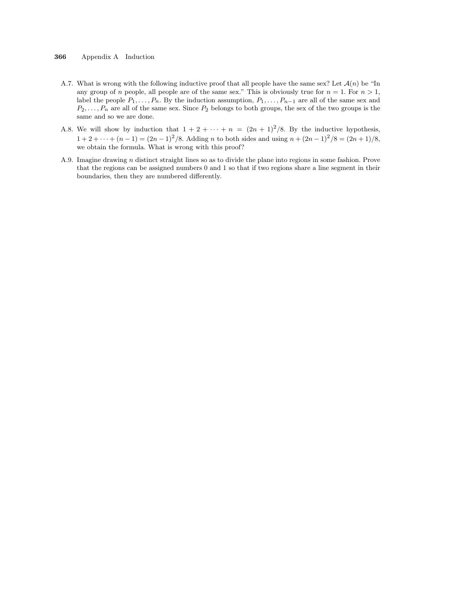#### 366 Appendix A Induction

- A.7. What is wrong with the following inductive proof that all people have the same sex? Let  $\mathcal{A}(n)$  be "In any group of n people, all people are of the same sex." This is obviously true for  $n = 1$ . For  $n > 1$ , label the people  $P_1, \ldots, P_n$ . By the induction assumption,  $P_1, \ldots, P_{n-1}$  are all of the same sex and  $P_2, \ldots, P_n$  are all of the same sex. Since  $P_2$  belongs to both groups, the sex of the two groups is the same and so we are done.
- A.8. We will show by induction that  $1 + 2 + \cdots + n = (2n + 1)^2/8$ . By the inductive hypothesis,  $1 + 2 + \cdots + (n - 1) = (2n - 1)^2/8$ . Adding *n* to both sides and using  $n + (2n - 1)^2/8 = (2n + 1)/8$ , we obtain the formula. What is wrong with this proof?
- A.9. Imagine drawing n distinct straight lines so as to divide the plane into regions in some fashion. Prove that the regions can be assigned numbers 0 and 1 so that if two regions share a line segment in their boundaries, then they are numbered differently.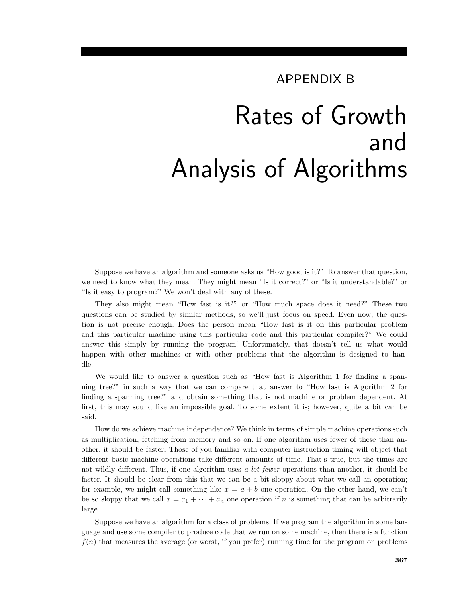## APPENDIX B

## Rates of Growth and Analysis of Algorithms

Suppose we have an algorithm and someone asks us "How good is it?" To answer that question, we need to know what they mean. They might mean "Is it correct?" or "Is it understandable?" or "Is it easy to program?" We won't deal with any of these.

They also might mean "How fast is it?" or "How much space does it need?" These two questions can be studied by similar methods, so we'll just focus on speed. Even now, the question is not precise enough. Does the person mean "How fast is it on this particular problem and this particular machine using this particular code and this particular compiler?" We could answer this simply by running the program! Unfortunately, that doesn't tell us what would happen with other machines or with other problems that the algorithm is designed to handle.

We would like to answer a question such as "How fast is Algorithm 1 for finding a spanning tree?" in such a way that we can compare that answer to "How fast is Algorithm 2 for finding a spanning tree?" and obtain something that is not machine or problem dependent. At first, this may sound like an impossible goal. To some extent it is; however, quite a bit can be said.

How do we achieve machine independence? We think in terms of simple machine operations such as multiplication, fetching from memory and so on. If one algorithm uses fewer of these than another, it should be faster. Those of you familiar with computer instruction timing will object that different basic machine operations take different amounts of time. That's true, but the times are not wildly different. Thus, if one algorithm uses a *lot fewer* operations than another, it should be faster. It should be clear from this that we can be a bit sloppy about what we call an operation; for example, we might call something like  $x = a + b$  one operation. On the other hand, we can't be so sloppy that we call  $x = a_1 + \cdots + a_n$  one operation if n is something that can be arbitrarily large.

Suppose we have an algorithm for a class of problems. If we program the algorithm in some language and use some compiler to produce code that we run on some machine, then there is a function  $f(n)$  that measures the average (or worst, if you prefer) running time for the program on problems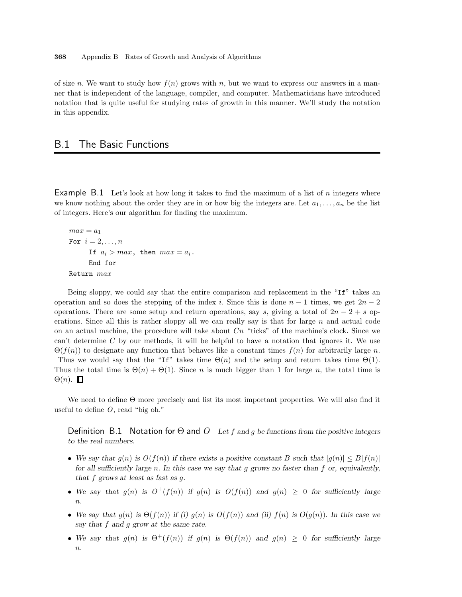of size n. We want to study how  $f(n)$  grows with n, but we want to express our answers in a manner that is independent of the language, compiler, and computer. Mathematicians have introduced notation that is quite useful for studying rates of growth in this manner. We'll study the notation in this appendix.

### B.1 The Basic Functions

**Example B.1** Let's look at how long it takes to find the maximum of a list of n integers where we know nothing about the order they are in or how big the integers are. Let  $a_1, \ldots, a_n$  be the list of integers. Here's our algorithm for finding the maximum.

```
max = a_1For i=2,\ldots,nIf a_i > max, then max = a_i.
     End for
Return max
```
Being sloppy, we could say that the entire comparison and replacement in the "If" takes an operation and so does the stepping of the index i. Since this is done  $n-1$  times, we get  $2n-2$ operations. There are some setup and return operations, say s, giving a total of  $2n - 2 + s$  operations. Since all this is rather sloppy all we can really say is that for large  $n$  and actual code on an actual machine, the procedure will take about  $Cn$  "ticks" of the machine's clock. Since we can't determine  $C$  by our methods, it will be helpful to have a notation that ignores it. We use  $\Theta(f(n))$  to designate any function that behaves like a constant times  $f(n)$  for arbitrarily large n. Thus we would say that the "If" takes time  $\Theta(n)$  and the setup and return takes time  $\Theta(1)$ . Thus the total time is  $\Theta(n) + \Theta(1)$ . Since n is much bigger than 1 for large n, the total time is  $\Theta(n)$ .  $\Box$ 

We need to define Θ more precisely and list its most important properties. We will also find it useful to define  $O$ , read "big oh."

Definition B.1 Notation for  $\Theta$  and  $O$  Let f and g be functions from the positive integers to the real numbers.

- We say that  $g(n)$  is  $O(f(n))$  if there exists a positive constant B such that  $|g(n)| \leq B|f(n)|$ for all sufficiently large n. In this case we say that g grows no faster than  $f$  or, equivalently, that  $f$  grows at least as fast as  $q$ .
- We say that  $g(n)$  is  $O^+(f(n))$  if  $g(n)$  is  $O(f(n))$  and  $g(n) \geq 0$  for sufficiently large  $\overline{n}$ .
- We say that  $g(n)$  is  $\Theta(f(n))$  if (i)  $g(n)$  is  $O(f(n))$  and (ii)  $f(n)$  is  $O(g(n))$ . In this case we say that f and g grow at the same rate.
- We say that  $g(n)$  is  $\Theta^+(f(n))$  if  $g(n)$  is  $\Theta(f(n))$  and  $g(n) \geq 0$  for sufficiently large  $n<sub>1</sub>$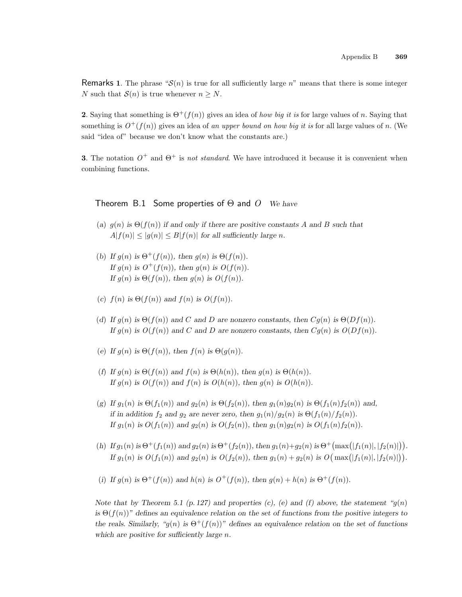**Remarks 1.** The phrase " $\mathcal{S}(n)$  is true for all sufficiently large n" means that there is some integer N such that  $\mathcal{S}(n)$  is true whenever  $n \geq N$ .

2. Saying that something is  $\Theta^+(f(n))$  gives an idea of how big it is for large values of n. Saying that something is  $O^+(f(n))$  gives an idea of an upper bound on how big it is for all large values of n. (We said "idea of" because we don't know what the constants are.)

**3.** The notation  $O^+$  and  $\Theta^+$  is not standard. We have introduced it because it is convenient when combining functions.

### Theorem B.1 Some properties of  $\Theta$  and  $\overline{O}$  We have

- (a)  $q(n)$  is  $\Theta(f(n))$  if and only if there are positive constants A and B such that  $A|f(n)| \leq |g(n)| \leq B|f(n)|$  for all sufficiently large n.
- (b) If  $g(n)$  is  $\Theta^+(f(n))$ , then  $g(n)$  is  $\Theta(f(n))$ . If  $g(n)$  is  $O^+(f(n))$ , then  $g(n)$  is  $O(f(n))$ . If  $g(n)$  is  $\Theta(f(n))$ , then  $g(n)$  is  $O(f(n))$ .
- (c)  $f(n)$  is  $\Theta(f(n))$  and  $f(n)$  is  $O(f(n))$ .
- (d) If  $q(n)$  is  $\Theta(f(n))$  and C and D are nonzero constants, then  $Cq(n)$  is  $\Theta(Df(n))$ . If  $g(n)$  is  $O(f(n))$  and C and D are nonzero constants, then  $Cg(n)$  is  $O(Df(n))$ .
- (e) If  $g(n)$  is  $\Theta(f(n))$ , then  $f(n)$  is  $\Theta(g(n))$ .
- (f) If  $g(n)$  is  $\Theta(f(n))$  and  $f(n)$  is  $\Theta(h(n))$ , then  $g(n)$  is  $\Theta(h(n))$ . If  $g(n)$  is  $O(f(n))$  and  $f(n)$  is  $O(h(n))$ , then  $g(n)$  is  $O(h(n))$ .
- (g) If  $g_1(n)$  is  $\Theta(f_1(n))$  and  $g_2(n)$  is  $\Theta(f_2(n))$ , then  $g_1(n)g_2(n)$  is  $\Theta(f_1(n)f_2(n))$  and, if in addition  $f_2$  and  $g_2$  are never zero, then  $g_1(n)/g_2(n)$  is  $\Theta(f_1(n)/f_2(n))$ . If  $g_1(n)$  is  $O(f_1(n))$  and  $g_2(n)$  is  $O(f_2(n))$ , then  $g_1(n)g_2(n)$  is  $O(f_1(n)f_2(n))$ .
- (h) If  $g_1(n)$  is  $\Theta^+(f_1(n))$  and  $g_2(n)$  is  $\Theta^+(f_2(n))$ , then  $g_1(n)+g_2(n)$  is  $\Theta^+\left(\max(|f_1(n)|, |f_2(n)|)\right)$ . If  $g_1(n)$  is  $O(f_1(n))$  and  $g_2(n)$  is  $O(f_2(n))$ , then  $g_1(n) + g_2(n)$  is  $O(max(|f_1(n)|, |f_2(n)|))$ .
- (i) If  $g(n)$  is  $\Theta^+(f(n))$  and  $h(n)$  is  $O^+(f(n))$ , then  $g(n) + h(n)$  is  $\Theta^+(f(n))$ .

Note that by Theorem 5.1 (p. 127) and properties (c), (e) and (f) above, the statement " $q(n)$ is  $\Theta(f(n))$ " defines an equivalence relation on the set of functions from the positive integers to the reals. Similarly, " $g(n)$  is  $\Theta^+(f(n))$ " defines an equivalence relation on the set of functions which are positive for sufficiently large n.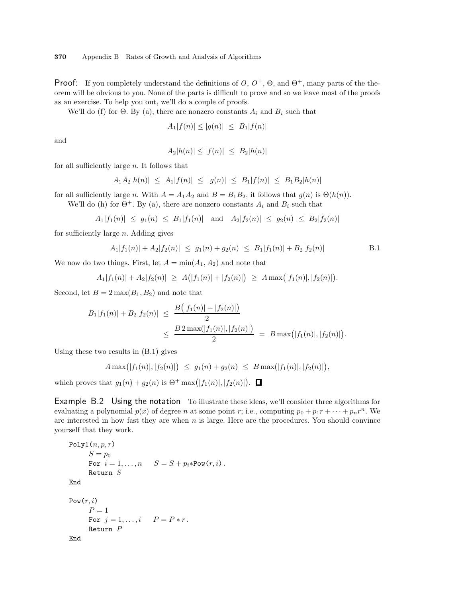**Proof:** If you completely understand the definitions of  $O, O^+, \Theta$ , and  $\Theta^+$ , many parts of the theorem will be obvious to you. None of the parts is difficult to prove and so we leave most of the proofs as an exercise. To help you out, we'll do a couple of proofs.

We'll do (f) for  $\Theta$ . By (a), there are nonzero constants  $A_i$  and  $B_i$  such that

$$
A_1|f(n)| \le |g(n)| \le |B_1|f(n)|
$$

and

$$
A_2|h(n)| \le |f(n)| \le B_2|h(n)|
$$

for all sufficiently large n. It follows that

$$
|A_1A_2|h(n)| \leq |A_1|f(n)| \leq |g(n)| \leq |B_1|f(n)| \leq |B_1B_2|h(n)|
$$

for all sufficiently large n. With  $A = A_1 A_2$  and  $B = B_1 B_2$ , it follows that  $g(n)$  is  $\Theta(h(n))$ .

We'll do (h) for  $\Theta^+$ . By (a), there are nonzero constants  $A_i$  and  $B_i$  such that

$$
A_1|f_1(n)| \le g_1(n) \le B_1|f_1(n)| \text{ and } A_2|f_2(n)| \le g_2(n) \le B_2|f_2(n)|
$$

for sufficiently large  $n$ . Adding gives

$$
A_1|f_1(n)| + A_2|f_2(n)| \le g_1(n) + g_2(n) \le B_1|f_1(n)| + B_2|f_2(n)| \tag{B.1}
$$

We now do two things. First, let  $A = min(A_1, A_2)$  and note that

$$
A_1|f_1(n)|+A_2|f_2(n)| \geq A(|f_1(n)|+|f_2(n)|) \geq A \max(|f_1(n)|,|f_2(n)|).
$$

Second, let  $B = 2 \max(B_1, B_2)$  and note that

$$
B_1|f_1(n)| + B_2|f_2(n)| \le \frac{B(|f_1(n)| + |f_2(n)|)}{2}
$$
  
 
$$
\le \frac{B 2 \max(|f_1(n)|, |f_2(n)|)}{2} = B \max(|f_1(n)|, |f_2(n)|).
$$

Using these two results in (B.1) gives

$$
A\max(|f_1(n)|,|f_2(n)|)\;\leq\; g_1(n)+g_2(n)\;\leq\;B\max(|f_1(n)|,|f_2(n)|),
$$

which proves that  $g_1(n) + g_2(n)$  is  $\Theta^+ \max(|f_1(n)|, |f_2(n)|)$ .

Example B.2 Using the notation To illustrate these ideas, we'll consider three algorithms for evaluating a polynomial  $p(x)$  of degree n at some point r; i.e., computing  $p_0 + p_1r + \cdots + p_nr^n$ . We are interested in how fast they are when  $n$  is large. Here are the procedures. You should convince yourself that they work.

```
Poly1(n, p, r)S = p_0For i = 1, ..., n S = S + p_i * \text{Pow}(r, i).
     Return S
End
Pow(r, i)P = 1For j = 1, ..., i P = P * r.
     Return \,PEnd
```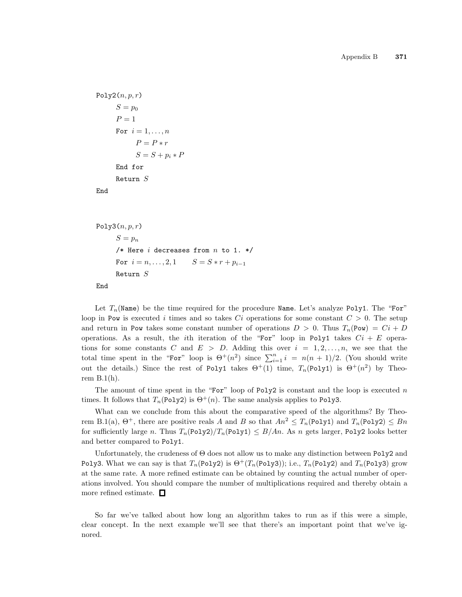```
Poly2(n, p, r)S = p_0P = 1For i=1,\ldots,nP = P * rS = S + p_i * PEnd for
     Return S
```
End

```
Poly3(n, p, r)S = p_n/* Here i decreases from n to 1. */
     For i = n, \ldots, 2, 1 S = S * r + p_{i-1}Return S
End
```
Let  $T_n(\texttt{Name})$  be the time required for the procedure Name. Let's analyze Poly1. The "For" loop in Pow is executed i times and so takes Ci operations for some constant  $C > 0$ . The setup and return in Pow takes some constant number of operations  $D > 0$ . Thus  $T_n(Pow) = Ci + D$ operations. As a result, the *i*th iteration of the "For" loop in Poly1 takes  $Ci + E$  operations for some constants C and  $E > D$ . Adding this over  $i = 1, 2, ..., n$ , we see that the total time spent in the "For" loop is  $\Theta^+(n^2)$  since  $\sum_{i=1}^n i = n(n+1)/2$ . (You should write out the details.) Since the rest of Poly1 takes  $\Theta^+(1)$  time,  $T_n(Poly1)$  is  $\Theta^+(n^2)$  by Theorem  $B.1(h)$ .

The amount of time spent in the "For" loop of Poly2 is constant and the loop is executed  $n$ times. It follows that  $T_n(\text{Poly2})$  is  $\Theta^+(n)$ . The same analysis applies to Poly3.

What can we conclude from this about the comparative speed of the algorithms? By Theorem B.1(a),  $\Theta^+$ , there are positive reals A and B so that  $An^2 \leq T_n(\text{Poly1})$  and  $T_n(\text{Poly2}) \leq Bn$ for sufficiently large n. Thus  $T_n(\text{Poly2})/T_n(\text{Poly1}) \leq B/An$ . As n gets larger, Poly2 looks better and better compared to Poly1.

Unfortunately, the crudeness of Θ does not allow us to make any distinction between Poly2 and Poly3. What we can say is that  $T_n(Poly2)$  is  $\Theta^+(T_n(Poly3))$ ; i.e.,  $T_n(Poly2)$  and  $T_n(Poly3)$  grow at the same rate. A more refined estimate can be obtained by counting the actual number of operations involved. You should compare the number of multiplications required and thereby obtain a more refined estimate.  $\square$ 

So far we've talked about how long an algorithm takes to run as if this were a simple, clear concept. In the next example we'll see that there's an important point that we've ignored.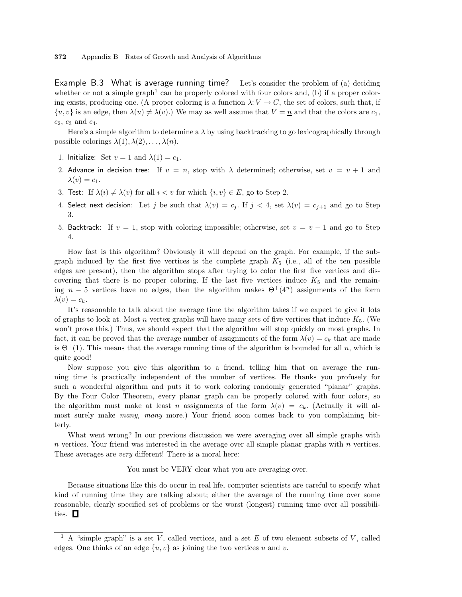Example B.3 What is average running time? Let's consider the problem of (a) deciding whether or not a simple graph<sup>1</sup> can be properly colored with four colors and, (b) if a proper coloring exists, producing one. (A proper coloring is a function  $\lambda: V \to C$ , the set of colors, such that, if  $\{u, v\}$  is an edge, then  $\lambda(u) \neq \lambda(v)$ .) We may as well assume that  $V = n$  and that the colors are  $c_1$ ,  $c_2, c_3 \text{ and } c_4.$ 

Here's a simple algorithm to determine a  $\lambda$  by using backtracking to go lexicographically through possible colorings  $\lambda(1), \lambda(2), \ldots, \lambda(n)$ .

- 1. Initialize: Set  $v = 1$  and  $\lambda(1) = c_1$ .
- 2. Advance in decision tree: If  $v = n$ , stop with  $\lambda$  determined; otherwise, set  $v = v + 1$  and  $\lambda(v) = c_1.$
- 3. Test: If  $\lambda(i) \neq \lambda(v)$  for all  $i < v$  for which  $\{i, v\} \in E$ , go to Step 2.
- 4. Select next decision: Let j be such that  $\lambda(v) = c_j$ . If  $j < 4$ , set  $\lambda(v) = c_{j+1}$  and go to Step 3.
- 5. Backtrack: If  $v = 1$ , stop with coloring impossible; otherwise, set  $v = v 1$  and go to Step 4.

How fast is this algorithm? Obviously it will depend on the graph. For example, if the subgraph induced by the first five vertices is the complete graph  $K_5$  (i.e., all of the ten possible edges are present), then the algorithm stops after trying to color the first five vertices and discovering that there is no proper coloring. If the last five vertices induce  $K_5$  and the remaining  $n-5$  vertices have no edges, then the algorithm makes  $\Theta^+(4^n)$  assignments of the form  $\lambda(v) = c_k.$ 

It's reasonable to talk about the average time the algorithm takes if we expect to give it lots of graphs to look at. Most n vertex graphs will have many sets of five vertices that induce  $K_5$ . (We won't prove this.) Thus, we should expect that the algorithm will stop quickly on most graphs. In fact, it can be proved that the average number of assignments of the form  $\lambda(v) = c_k$  that are made is  $\Theta^+(1)$ . This means that the average running time of the algorithm is bounded for all n, which is quite good!

Now suppose you give this algorithm to a friend, telling him that on average the running time is practically independent of the number of vertices. He thanks you profusely for such a wonderful algorithm and puts it to work coloring randomly generated "planar" graphs. By the Four Color Theorem, every planar graph can be properly colored with four colors, so the algorithm must make at least n assignments of the form  $\lambda(v) = c_k$ . (Actually it will almost surely make many, many more.) Your friend soon comes back to you complaining bitterly.

What went wrong? In our previous discussion we were averaging over all simple graphs with n vertices. Your friend was interested in the average over all simple planar graphs with n vertices. These averages are very different! There is a moral here:

#### You must be VERY clear what you are averaging over.

Because situations like this do occur in real life, computer scientists are careful to specify what kind of running time they are talking about; either the average of the running time over some reasonable, clearly specified set of problems or the worst (longest) running time over all possibilities.  $\Box$ 

<sup>&</sup>lt;sup>1</sup> A "simple graph" is a set V, called vertices, and a set E of two element subsets of V, called edges. One thinks of an edge  $\{u, v\}$  as joining the two vertices u and v.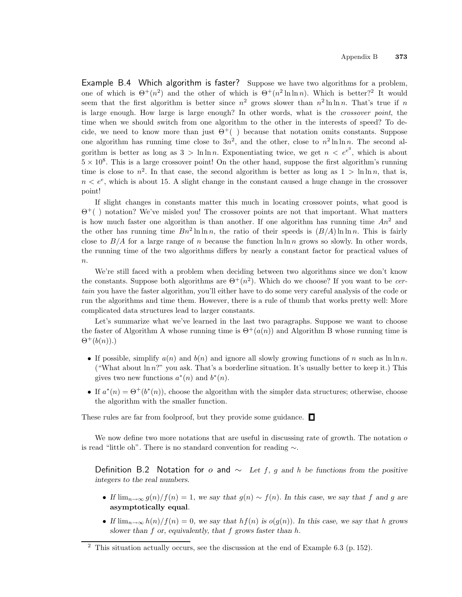Example B.4 Which algorithm is faster? Suppose we have two algorithms for a problem, one of which is  $\Theta^+(n^2)$  and the other of which is  $\Theta^+(n^2 \ln \ln n)$ . Which is better?<sup>2</sup> It would seem that the first algorithm is better since  $n^2$  grows slower than  $n^2 \ln \ln n$ . That's true if n is large enough. How large is large enough? In other words, what is the crossover point, the time when we should switch from one algorithm to the other in the interests of speed? To decide, we need to know more than just  $\Theta^+$ () because that notation omits constants. Suppose one algorithm has running time close to  $3n^2$ , and the other, close to  $n^2 \ln \ln n$ . The second algorithm is better as long as  $3 > \ln \ln n$ . Exponentiating twice, we get  $n < e^{e^3}$ , which is about  $5 \times 10^8$ . This is a large crossover point! On the other hand, suppose the first algorithm's running time is close to  $n^2$ . In that case, the second algorithm is better as long as  $1 > \ln \ln n$ , that is,  $n < e^e$ , which is about 15. A slight change in the constant caused a huge change in the crossover point!

If slight changes in constants matter this much in locating crossover points, what good is  $\Theta^+$ () notation? We've misled you! The crossover points are not that important. What matters is how much faster one algorithm is than another. If one algorithm has running time  $An^2$  and the other has running time  $Bn^2 \ln \ln n$ , the ratio of their speeds is  $(B/A) \ln \ln n$ . This is fairly close to  $B/A$  for a large range of n because the function  $\ln \ln n$  grows so slowly. In other words, the running time of the two algorithms differs by nearly a constant factor for practical values of  $\overline{n}$ .

We're still faced with a problem when deciding between two algorithms since we don't know the constants. Suppose both algorithms are  $\Theta^+(n^2)$ . Which do we choose? If you want to be certain you have the faster algorithm, you'll either have to do some very careful analysis of the code or run the algorithms and time them. However, there is a rule of thumb that works pretty well: More complicated data structures lead to larger constants.

Let's summarize what we've learned in the last two paragraphs. Suppose we want to choose the faster of Algorithm A whose running time is  $\Theta^+(a(n))$  and Algorithm B whose running time is  $\Theta^+(b(n))$ .)

- If possible, simplify  $a(n)$  and  $b(n)$  and ignore all slowly growing functions of n such as  $\ln \ln n$ . ("What about  $\ln n$ ?" you ask. That's a borderline situation. It's usually better to keep it.) This gives two new functions  $a^*(n)$  and  $b^*(n)$ .
- If  $a^*(n) = \Theta^+(b^*(n))$ , choose the algorithm with the simpler data structures; otherwise, choose the algorithm with the smaller function.

These rules are far from foolproof, but they provide some guidance.  $\Box$ 

We now define two more notations that are useful in discussing rate of growth. The notation  $\sigma$ is read "little oh". There is no standard convention for reading ∼.

Definition B.2 Notation for o and  $∼$  Let f, g and h be functions from the positive integers to the real numbers.

- If  $\lim_{n\to\infty} g(n)/f(n) = 1$ , we say that  $g(n) \sim f(n)$ . In this case, we say that f and g are asymptotically equal.
- If  $\lim_{n\to\infty} h(n)/f(n) = 0$ , we say that  $hf(n)$  is  $o(g(n))$ . In this case, we say that h grows slower than  $f$  or, equivalently, that  $f$  grows faster than  $h$ .

<sup>2</sup> This situation actually occurs, see the discussion at the end of Example 6.3 (p. 152).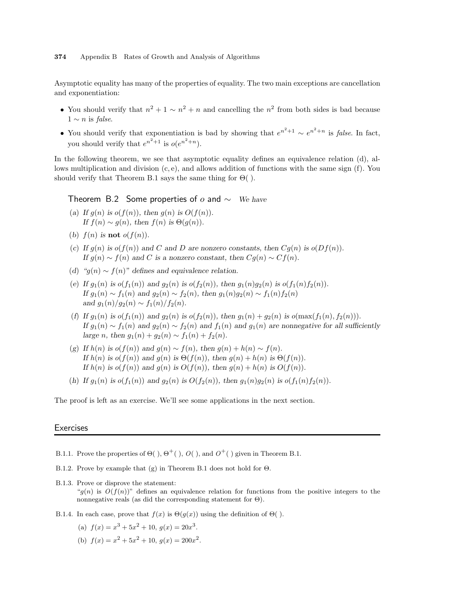#### 374 Appendix B Rates of Growth and Analysis of Algorithms

Asymptotic equality has many of the properties of equality. The two main exceptions are cancellation and exponentiation:

- You should verify that  $n^2 + 1 \sim n^2 + n$  and cancelling the  $n^2$  from both sides is bad because  $1 \sim n$  is false.
- You should verify that exponentiation is bad by showing that  $e^{n^2+1} \sim e^{n^2+n}$  is *false*. In fact, you should verify that  $e^{n^2+1}$  is  $o(e^{n^2+n})$ .

In the following theorem, we see that asymptotic equality defines an equivalence relation (d), allows multiplication and division  $(c, e)$ , and allows addition of functions with the same sign  $(f)$ . You should verify that Theorem B.1 says the same thing for  $\Theta(.)$ .

Theorem B.2 Some properties of o and  $\sim$  We have

- (a) If  $q(n)$  is  $o(f(n))$ , then  $q(n)$  is  $O(f(n))$ . If  $f(n) \sim g(n)$ , then  $f(n)$  is  $\Theta(g(n))$ .
- (b)  $f(n)$  is not  $o(f(n))$ .
- (c) If  $g(n)$  is  $o(f(n))$  and C and D are nonzero constants, then  $Cg(n)$  is  $o(Df(n))$ . If  $g(n) \sim f(n)$  and C is a nonzero constant, then  $Cg(n) \sim Cf(n)$ .
- (d) " $q(n) \sim f(n)$ " defines and equivalence relation.
- (e) If  $g_1(n)$  is  $o(f_1(n))$  and  $g_2(n)$  is  $o(f_2(n))$ , then  $g_1(n)g_2(n)$  is  $o(f_1(n)f_2(n))$ . If  $g_1(n) \sim f_1(n)$  and  $g_2(n) \sim f_2(n)$ , then  $g_1(n)g_2(n) \sim f_1(n)f_2(n)$ and  $g_1(n)/g_2(n) \sim f_1(n)/f_2(n)$ .
- (f) If  $g_1(n)$  is  $o(f_1(n))$  and  $g_2(n)$  is  $o(f_2(n))$ , then  $g_1(n) + g_2(n)$  is  $o(\max(f_1(n), f_2(n)))$ . If  $g_1(n) \sim f_1(n)$  and  $g_2(n) \sim f_2(n)$  and  $f_1(n)$  and  $g_1(n)$  are nonnegative for all sufficiently large n, then  $g_1(n) + g_2(n) \sim f_1(n) + f_2(n)$ .
- (g) If  $h(n)$  is  $o(f(n))$  and  $g(n) \sim f(n)$ , then  $g(n) + h(n) \sim f(n)$ . If  $h(n)$  is  $o(f(n))$  and  $q(n)$  is  $\Theta(f(n))$ , then  $q(n) + h(n)$  is  $\Theta(f(n))$ . If  $h(n)$  is  $o(f(n))$  and  $g(n)$  is  $O(f(n))$ , then  $g(n) + h(n)$  is  $O(f(n))$ .
- (h) If  $q_1(n)$  is  $o(f_1(n))$  and  $q_2(n)$  is  $O(f_2(n))$ , then  $q_1(n)q_2(n)$  is  $o(f_1(n)f_2(n))$ .

The proof is left as an exercise. We'll see some applications in the next section.

#### **Exercises**

- B.1.1. Prove the properties of  $\Theta(.)$ ,  $\Theta^+(.)$ ,  $O(.)$ , and  $O^+(.)$  given in Theorem B.1.
- B.1.2. Prove by example that (g) in Theorem B.1 does not hold for  $\Theta$ .
- B.1.3. Prove or disprove the statement: "q(n) is  $O(f(n))$ " defines an equivalence relation for functions from the positive integers to the nonnegative reals (as did the corresponding statement for  $\Theta$ ).
- B.1.4. In each case, prove that  $f(x)$  is  $\Theta(g(x))$  using the definition of  $\Theta(.)$ .

(a) 
$$
f(x) = x^3 + 5x^2 + 10
$$
,  $g(x) = 20x^3$ .

(b)  $f(x) = x^2 + 5x^2 + 10$ ,  $g(x) = 200x^2$ .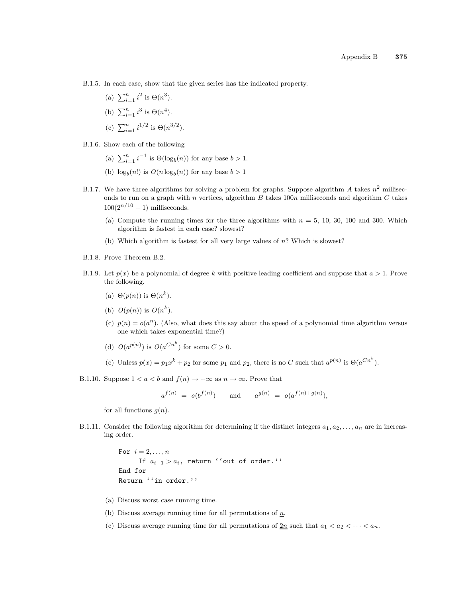- B.1.5. In each case, show that the given series has the indicated property.
	- (a)  $\sum_{i=1}^{n} i^2$  is  $\Theta(n^3)$ .
	- (b)  $\sum_{i=1}^{n} i^3$  is  $\Theta(n^4)$ .
	- (c)  $\sum_{i=1}^{n} i^{1/2}$  is  $\Theta(n^{3/2})$ .
- B.1.6. Show each of the following
	- (a)  $\sum_{i=1}^{n} i^{-1}$  is  $\Theta(\log_b(n))$  for any base  $b > 1$ .
	- (b)  $\log_b(n!)$  is  $O(n \log_b(n))$  for any base  $b > 1$
- B.1.7. We have three algorithms for solving a problem for graphs. Suppose algorithm A takes  $n^2$  milliseconds to run on a graph with n vertices, algorithm  $B$  takes 100n milliseconds and algorithm  $C$  takes  $100(2^{n/10} - 1)$  milliseconds.
	- (a) Compute the running times for the three algorithms with  $n = 5, 10, 30, 100$  and 300. Which algorithm is fastest in each case? slowest?
	- (b) Which algorithm is fastest for all very large values of  $n$ ? Which is slowest?
- B.1.8. Prove Theorem B.2.
- B.1.9. Let  $p(x)$  be a polynomial of degree k with positive leading coefficient and suppose that  $a > 1$ . Prove the following.
	- (a)  $\Theta(p(n))$  is  $\Theta(n^k)$ .
	- (b)  $O(p(n))$  is  $O(n^k)$ .
	- (c)  $p(n) = o(a^n)$ . (Also, what does this say about the speed of a polynomial time algorithm versus one which takes exponential time?)
	- (d)  $O(a^{p(n)})$  is  $O(a^{Cn^k})$  for some  $C > 0$ .
	- (e) Unless  $p(x) = p_1 x^k + p_2$  for some  $p_1$  and  $p_2$ , there is no C such that  $a^{p(n)}$  is  $\Theta(a^{Cn^k})$ .
- B.1.10. Suppose  $1 < a < b$  and  $f(n) \rightarrow +\infty$  as  $n \rightarrow \infty$ . Prove that

$$
a^{f(n)} = o(b^{f(n)})
$$
 and  $a^{g(n)} = o(a^{f(n)+g(n)})$ ,

for all functions  $g(n)$ .

B.1.11. Consider the following algorithm for determining if the distinct integers  $a_1, a_2, \ldots, a_n$  are in increasing order.

```
For i=2,\ldots,nIf a_{i-1} > a_i, return ''out of order.''
End for
Return ''in order.''
```
- (a) Discuss worst case running time.
- (b) Discuss average running time for all permutations of  $\underline{n}$ .
- (c) Discuss average running time for all permutations of  $\underline{2n}$  such that  $a_1 < a_2 < \cdots < a_n$ .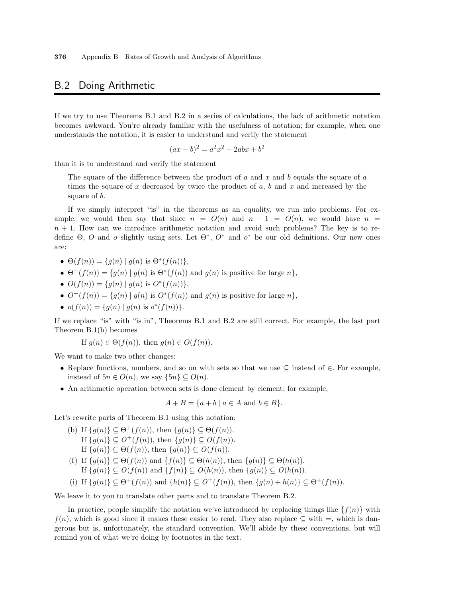## B.2 Doing Arithmetic

If we try to use Theorems B.1 and B.2 in a series of calculations, the lack of arithmetic notation becomes awkward. You're already familiar with the usefulness of notation; for example, when one understands the notation, it is easier to understand and verify the statement

$$
(ax - b)^2 = a^2x^2 - 2abx + b^2
$$

than it is to understand and verify the statement

The square of the difference between the product of  $a$  and  $x$  and  $b$  equals the square of  $a$ times the square of x decreased by twice the product of  $a, b$  and x and increased by the square of b.

If we simply interpret "is" in the theorems as an equality, we run into problems. For example, we would then say that since  $n = O(n)$  and  $n + 1 = O(n)$ , we would have  $n =$  $n + 1$ . How can we introduce arithmetic notation and avoid such problems? The key is to redefine  $\Theta$ , O and o slightly using sets. Let  $\Theta^*$ ,  $O^*$  and  $o^*$  be our old definitions. Our new ones are:

- $\Theta(f(n)) = \{g(n) | g(n) \text{ is } \Theta^*(f(n))\},\$
- $\Theta^+(f(n)) = \{g(n) \mid g(n) \text{ is } \Theta^*(f(n)) \text{ and } g(n) \text{ is positive for large } n\},\$
- $O(f(n)) = \{g(n) | g(n) \text{ is } O^*(f(n))\},\$
- $O^+(f(n)) = \{g(n) | g(n)$  is  $O^*(f(n))$  and  $g(n)$  is positive for large  $n\}$ ,
- $o(f(n)) = \{g(n) | g(n) \text{ is } o^*(f(n))\}.$

If we replace "is" with "is in", Theorems B.1 and B.2 are still correct. For example, the last part Theorem B.1(b) becomes

If 
$$
g(n) \in \Theta(f(n))
$$
, then  $g(n) \in O(f(n))$ .

We want to make two other changes:

- Replace functions, numbers, and so on with sets so that we use ⊆ instead of ∈. For example, instead of  $5n \in O(n)$ , we say  $\{5n\} \subseteq O(n)$ .
- An arithmetic operation between sets is done element by element; for example,

$$
A + B = \{a + b \mid a \in A \text{ and } b \in B\}.
$$

Let's rewrite parts of Theorem B.1 using this notation:

- (b) If  $\{g(n)\}\subseteq \Theta^+(f(n))$ , then  $\{g(n)\}\subseteq \Theta(f(n))$ . If  $\{g(n)\}\subseteq O^+(f(n))$ , then  $\{g(n)\}\subseteq O(f(n))$ . If  $\{g(n)\}\subseteq \Theta(f(n))$ , then  $\{g(n)\}\subseteq O(f(n))$ .
- (f) If  $\{g(n)\}\subseteq \Theta(f(n))$  and  $\{f(n)\}\subseteq \Theta(h(n))$ , then  $\{g(n)\}\subseteq \Theta(h(n))$ .
	- If  $\{g(n)\}\subseteq O(f(n))$  and  $\{f(n)\}\subseteq O(h(n))$ , then  $\{g(n)\}\subseteq O(h(n))$ .  $\Omega + (e(\lambda)) = 1$   $(1/\lambda)$

(i) If 
$$
\{g(n)\}\subseteq \Theta^+(f(n))
$$
 and  $\{h(n)\}\subseteq O^+(f(n))$ , then  $\{g(n)+h(n)\}\subseteq \Theta^+(f(n))$ .

We leave it to you to translate other parts and to translate Theorem B.2.

In practice, people simplify the notation we've introduced by replacing things like  $\{f(n)\}\$  with  $f(n)$ , which is good since it makes these easier to read. They also replace  $\subseteq$  with  $=$ , which is dangerous but is, unfortunately, the standard convention. We'll abide by these conventions, but will remind you of what we're doing by footnotes in the text.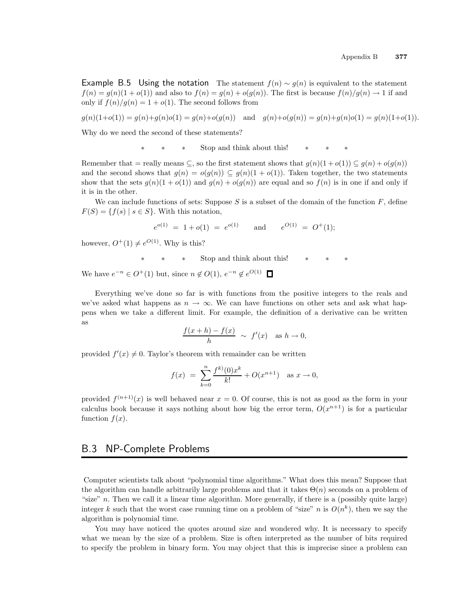Example B.5 Using the notation The statement  $f(n) \sim g(n)$  is equivalent to the statement  $f(n) = g(n)(1 + o(1))$  and also to  $f(n) = g(n) + o(g(n))$ . The first is because  $f(n)/g(n) \to 1$  if and only if  $f(n)/g(n) = 1 + o(1)$ . The second follows from

$$
g(n)(1+o(1)) = g(n)+g(n)o(1) = g(n)+o(g(n))
$$
 and  $g(n)+o(g(n)) = g(n)+g(n)o(1) = g(n)(1+o(1)).$ 

Why do we need the second of these statements?

∗ ∗ ∗ Stop and think about this! ∗ ∗ ∗

Remember that = really means  $\subseteq$ , so the first statement shows that  $g(n)(1+o(1)) \subseteq g(n)+o(g(n))$ and the second shows that  $g(n) = o(g(n)) \subseteq g(n)(1 + o(1))$ . Taken together, the two statements show that the sets  $g(n)(1 + o(1))$  and  $g(n) + o(g(n))$  are equal and so  $f(n)$  is in one if and only if it is in the other.

We can include functions of sets: Suppose S is a subset of the domain of the function  $F$ , define  $F(S) = \{f(s) \mid s \in S\}$ . With this notation,

$$
e^{o(1)} = 1 + o(1) = e^{o(1)}
$$
 and  $e^{O(1)} = O^+(1);$ 

however,  $O^+(1) \neq e^{O(1)}$ . Why is this?

Stop and think about this!

We have  $e^{-n} \in O^+(1)$  but, since  $n \notin O(1)$ ,  $e^{-n} \notin e^{O(1)}$ 

Everything we've done so far is with functions from the positive integers to the reals and we've asked what happens as  $n \to \infty$ . We can have functions on other sets and ask what happens when we take a different limit. For example, the definition of a derivative can be written as

$$
\frac{f(x+h)-f(x)}{h} \sim f'(x) \text{ as } h \to 0,
$$

provided  $f'(x) \neq 0$ . Taylor's theorem with remainder can be written

$$
f(x) = \sum_{k=0}^{n} \frac{f^{k}(0)x^{k}}{k!} + O(x^{n+1}) \text{ as } x \to 0,
$$

provided  $f^{(n+1)}(x)$  is well behaved near  $x = 0$ . Of course, this is not as good as the form in your calculus book because it says nothing about how big the error term,  $O(x^{n+1})$  is for a particular function  $f(x)$ .

## B.3 NP-Complete Problems

Computer scientists talk about "polynomial time algorithms." What does this mean? Suppose that the algorithm can handle arbitrarily large problems and that it takes  $\Theta(n)$  seconds on a problem of "size"  $n$ . Then we call it a linear time algorithm. More generally, if there is a (possibly quite large) integer k such that the worst case running time on a problem of "size" n is  $O(n^k)$ , then we say the algorithm is polynomial time.

You may have noticed the quotes around size and wondered why. It is necessary to specify what we mean by the size of a problem. Size is often interpreted as the number of bits required to specify the problem in binary form. You may object that this is imprecise since a problem can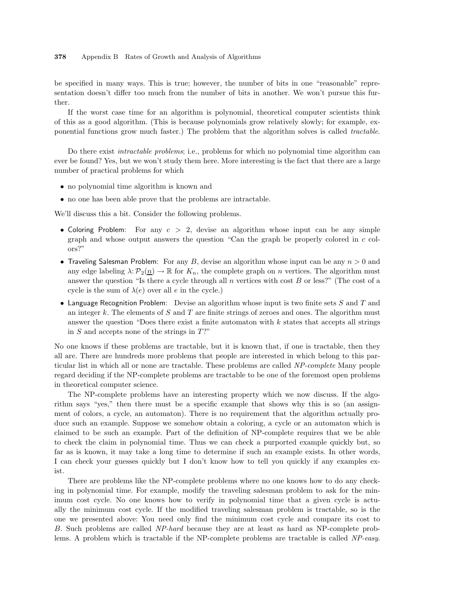be specified in many ways. This is true; however, the number of bits in one "reasonable" representation doesn't differ too much from the number of bits in another. We won't pursue this further.

If the worst case time for an algorithm is polynomial, theoretical computer scientists think of this as a good algorithm. (This is because polynomials grow relatively slowly; for example, exponential functions grow much faster.) The problem that the algorithm solves is called tractable.

Do there exist *intractable problems*; i.e., problems for which no polynomial time algorithm can ever be found? Yes, but we won't study them here. More interesting is the fact that there are a large number of practical problems for which

- no polynomial time algorithm is known and
- no one has been able prove that the problems are intractable.

We'll discuss this a bit. Consider the following problems.

- Coloring Problem: For any  $c > 2$ , devise an algorithm whose input can be any simple graph and whose output answers the question "Can the graph be properly colored in c colors?"
- Traveling Salesman Problem: For any  $B$ , devise an algorithm whose input can be any  $n > 0$  and any edge labeling  $\lambda: \mathcal{P}_2(n) \to \mathbb{R}$  for  $K_n$ , the complete graph on *n* vertices. The algorithm must answer the question "Is there a cycle through all  $n$  vertices with cost  $B$  or less?" (The cost of a cycle is the sum of  $\lambda(e)$  over all e in the cycle.)
- Language Recognition Problem: Devise an algorithm whose input is two finite sets  $S$  and  $T$  and an integer k. The elements of S and T are finite strings of zeroes and ones. The algorithm must answer the question "Does there exist a finite automaton with  $k$  states that accepts all strings in  $S$  and accepts none of the strings in  $T$ ?"

No one knows if these problems are tractable, but it is known that, if one is tractable, then they all are. There are hundreds more problems that people are interested in which belong to this particular list in which all or none are tractable. These problems are called NP-complete Many people regard deciding if the NP-complete problems are tractable to be one of the foremost open problems in theoretical computer science.

The NP-complete problems have an interesting property which we now discuss. If the algorithm says "yes," then there must be a specific example that shows why this is so (an assignment of colors, a cycle, an automaton). There is no requirement that the algorithm actually produce such an example. Suppose we somehow obtain a coloring, a cycle or an automaton which is claimed to be such an example. Part of the definition of NP-complete requires that we be able to check the claim in polynomial time. Thus we can check a purported example quickly but, so far as is known, it may take a long time to determine if such an example exists. In other words, I can check your guesses quickly but I don't know how to tell you quickly if any examples exist.

There are problems like the NP-complete problems where no one knows how to do any checking in polynomial time. For example, modify the traveling salesman problem to ask for the minimum cost cycle. No one knows how to verify in polynomial time that a given cycle is actually the minimum cost cycle. If the modified traveling salesman problem is tractable, so is the one we presented above: You need only find the minimum cost cycle and compare its cost to B. Such problems are called NP-hard because they are at least as hard as NP-complete problems. A problem which is tractable if the NP-complete problems are tractable is called NP-easy.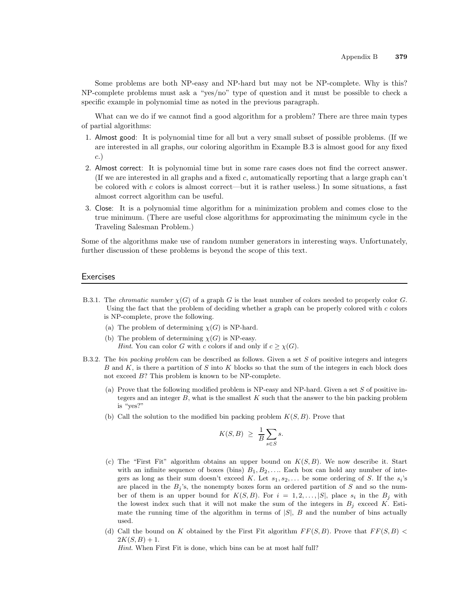Some problems are both NP-easy and NP-hard but may not be NP-complete. Why is this? NP-complete problems must ask a "yes/no" type of question and it must be possible to check a specific example in polynomial time as noted in the previous paragraph.

What can we do if we cannot find a good algorithm for a problem? There are three main types of partial algorithms:

- 1. Almost good: It is polynomial time for all but a very small subset of possible problems. (If we are interested in all graphs, our coloring algorithm in Example B.3 is almost good for any fixed c.)
- 2. Almost correct: It is polynomial time but in some rare cases does not find the correct answer. (If we are interested in all graphs and a fixed  $c$ , automatically reporting that a large graph can't be colored with  $c$  colors is almost correct—but it is rather useless.) In some situations, a fast almost correct algorithm can be useful.
- 3. Close: It is a polynomial time algorithm for a minimization problem and comes close to the true minimum. (There are useful close algorithms for approximating the minimum cycle in the Traveling Salesman Problem.)

Some of the algorithms make use of random number generators in interesting ways. Unfortunately, further discussion of these problems is beyond the scope of this text.

#### **Exercises**

- B.3.1. The *chromatic number*  $\chi(G)$  of a graph G is the least number of colors needed to properly color G. Using the fact that the problem of deciding whether a graph can be properly colored with c colors is NP-complete, prove the following.
	- (a) The problem of determining  $\chi(G)$  is NP-hard.
	- (b) The problem of determining  $\chi(G)$  is NP-easy. *Hint.* You can color G with c colors if and only if  $c \geq \chi(G)$ .
- B.3.2. The bin packing problem can be described as follows. Given a set S of positive integers and integers B and  $K$ , is there a partition of S into K blocks so that the sum of the integers in each block does not exceed B? This problem is known to be NP-complete.
	- (a) Prove that the following modified problem is NP-easy and NP-hard. Given a set S of positive integers and an integer  $B$ , what is the smallest  $K$  such that the answer to the bin packing problem is "yes?"
	- (b) Call the solution to the modified bin packing problem  $K(S, B)$ . Prove that

$$
K(S, B) \geq \frac{1}{B} \sum_{s \in S} s.
$$

- (c) The "First Fit" algorithm obtains an upper bound on  $K(S, B)$ . We now describe it. Start with an infinite sequence of boxes (bins)  $B_1, B_2, \ldots$  Each box can hold any number of integers as long as their sum doesn't exceed K. Let  $s_1, s_2, \ldots$  be some ordering of S. If the  $s_i$ 's are placed in the  $B_j$ 's, the nonempty boxes form an ordered partition of S and so the number of them is an upper bound for  $K(S, B)$ . For  $i = 1, 2, \ldots, |S|$ , place  $s_i$  in the  $B_j$  with the lowest index such that it will not make the sum of the integers in  $B_j$  exceed K. Estimate the running time of the algorithm in terms of  $|S|$ ,  $B$  and the number of bins actually used.
- (d) Call the bound on K obtained by the First Fit algorithm  $FF(S, B)$ . Prove that  $FF(S, B)$  $2K(S, B) + 1.$

Hint. When First Fit is done, which bins can be at most half full?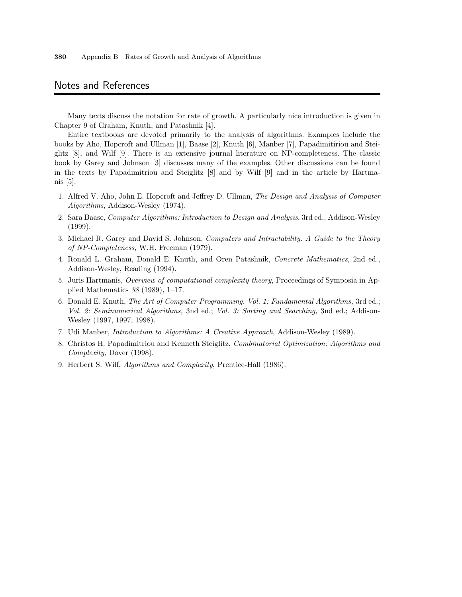## Notes and References

Many texts discuss the notation for rate of growth. A particularly nice introduction is given in Chapter 9 of Graham, Knuth, and Patashnik [4].

Entire textbooks are devoted primarily to the analysis of algorithms. Examples include the books by Aho, Hopcroft and Ullman [1], Baase [2], Knuth [6], Manber [7], Papadimitiriou and Steiglitz [8], and Wilf [9]. There is an extensive journal literature on NP-completeness. The classic book by Garey and Johnson [3] discusses many of the examples. Other discussions can be found in the texts by Papadimitriou and Steiglitz [8] and by Wilf [9] and in the article by Hartmanis [5].

- 1. Alfred V. Aho, John E. Hopcroft and Jeffrey D. Ullman, The Design and Analysis of Computer Algorithms, Addison-Wesley (1974).
- 2. Sara Baase, Computer Algorithms: Introduction to Design and Analysis, 3rd ed., Addison-Wesley (1999).
- 3. Michael R. Garey and David S. Johnson, Computers and Intractability. A Guide to the Theory of NP-Completeness, W.H. Freeman (1979).
- 4. Ronald L. Graham, Donald E. Knuth, and Oren Patashnik, Concrete Mathematics, 2nd ed., Addison-Wesley, Reading (1994).
- 5. Juris Hartmanis, Overview of computational complexity theory, Proceedings of Symposia in Applied Mathematics 38 (1989), 1–17.
- 6. Donald E. Knuth, The Art of Computer Programming. Vol. 1: Fundamental Algorithms, 3rd ed.; Vol. 2: Seminumerical Algorithms, 3nd ed.; Vol. 3: Sorting and Searching, 3nd ed.; Addison-Wesley (1997, 1997, 1998).
- 7. Udi Manber, Introduction to Algorithms: A Creative Approach, Addison-Wesley (1989).
- 8. Christos H. Papadimitriou and Kenneth Steiglitz, Combinatorial Optimization: Algorithms and Complexity, Dover (1998).
- 9. Herbert S. Wilf, Algorithms and Complexity, Prentice-Hall (1986).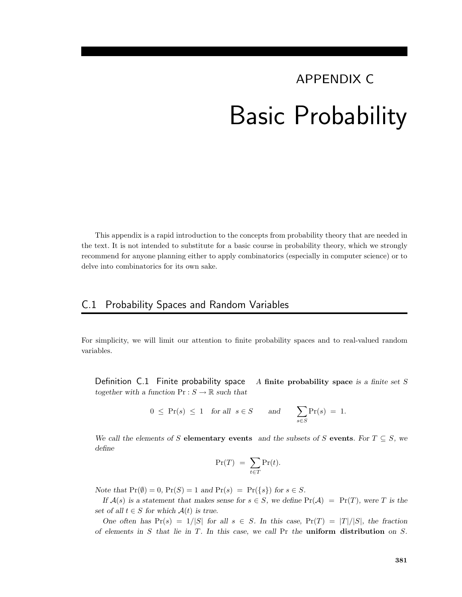# APPENDIX C Basic Probability

This appendix is a rapid introduction to the concepts from probability theory that are needed in the text. It is not intended to substitute for a basic course in probability theory, which we strongly recommend for anyone planning either to apply combinatorics (especially in computer science) or to delve into combinatorics for its own sake.

## C.1 Probability Spaces and Random Variables

For simplicity, we will limit our attention to finite probability spaces and to real-valued random variables.

Definition C.1 Finite probability space A finite probability space is a finite set S together with a function  $Pr: S \to \mathbb{R}$  such that

$$
0 \le \Pr(s) \le 1
$$
 for all  $s \in S$  and  $\sum_{s \in S} \Pr(s) = 1$ .

We call the elements of S elementary events and the subsets of S events. For  $T \subseteq S$ , we define

$$
\Pr(T) = \sum_{t \in T} \Pr(t).
$$

Note that  $Pr(\emptyset) = 0$ ,  $Pr(S) = 1$  and  $Pr(s) = Pr({s})$  for  $s \in S$ .

If  $\mathcal{A}(s)$  is a statement that makes sense for  $s \in S$ , we define  $\Pr(\mathcal{A}) = \Pr(T)$ , were T is the set of all  $t \in S$  for which  $\mathcal{A}(t)$  is true.

One often has  $Pr(s) = 1/|S|$  for all  $s \in S$ . In this case,  $Pr(T) = |T|/|S|$ , the fraction of elements in  $S$  that lie in  $T$ . In this case, we call  $Pr$  the **uniform distribution** on  $S$ .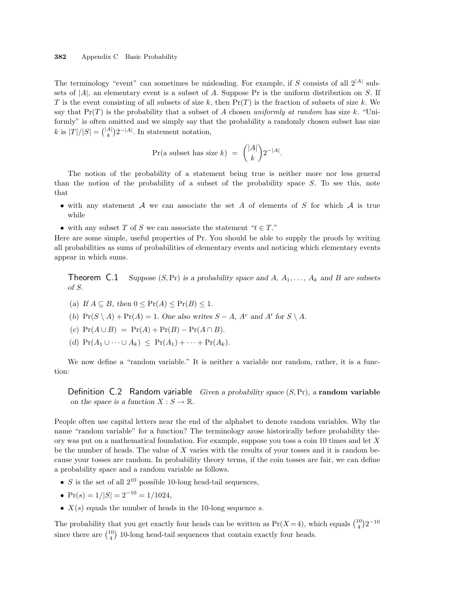The terminology "event" can sometimes be misleading. For example, if S consists of all  $2^{|A|}$  subsets of  $|A|$ , an elementary event is a subset of A. Suppose Pr is the uniform distribution on S. If T is the event consisting of all subsets of size k, then  $Pr(T)$  is the fraction of subsets of size k. We say that  $Pr(T)$  is the probability that a subset of A chosen uniformly at random has size k. "Uniformly" is often omitted and we simply say that the probability a randomly chosen subset has size k is  $|T|/|S| = {|\mathbf{A}| \choose k} 2^{-|A|}$ . In statement notation,

$$
Pr(a \text{ subset has size } k) = \binom{|A|}{k} 2^{-|A|}.
$$

The notion of the probability of a statement being true is neither more nor less general than the notion of the probability of a subset of the probability space S. To see this, note that

- with any statement  $A$  we can associate the set  $A$  of elements of  $S$  for which  $A$  is true while
- with any subset T of S we can associate the statement " $t \in T$ ."

Here are some simple, useful properties of Pr. You should be able to supply the proofs by writing all probabilities as sums of probabilities of elementary events and noticing which elementary events appear in which sums.

**Theorem C.1** Suppose  $(S, Pr)$  is a probability space and A,  $A_1, \ldots, A_k$  and B are subsets of S.

- (a) If  $A \subseteq B$ , then  $0 \leq \Pr(A) \leq \Pr(B) \leq 1$ .
- (b)  $Pr(S \setminus A) + Pr(A) = 1$ . One also writes  $S A$ ,  $A<sup>c</sup>$  and  $A'$  for  $S \setminus A$ .
- (c)  $Pr(A \cup B) = Pr(A) + Pr(B) Pr(A \cap B).$
- (d)  $Pr(A_1 \cup \cdots \cup A_k)$  <  $Pr(A_1) + \cdots + Pr(A_k)$ .

We now define a "random variable." It is neither a variable nor random, rather, it is a function:

Definition C.2 Random variable Given a probability space  $(S,Pr)$ , a random variable on the space is a function  $X : S \to \mathbb{R}$ .

People often use capital letters near the end of the alphabet to denote random variables. Why the name "random variable" for a function? The terminology arose historically before probability theory was put on a mathematical foundation. For example, suppose you toss a coin 10 times and let  $X$ be the number of heads. The value of X varies with the results of your tosses and it is random because your tosses are random. In probability theory terms, if the coin tosses are fair, we can define a probability space and a random variable as follows.

- S is the set of all  $2^{10}$  possible 10-long head-tail sequences,
- $Pr(s) = 1/|S| = 2^{-10} = 1/1024$ ,
- $X(s)$  equals the number of heads in the 10-long sequence s.

The probability that you get exactly four heads can be written as  $Pr(X=4)$ , which equals  $\binom{10}{4}2^{-10}$ since there are  $\binom{10}{4}$  10-long head-tail sequences that contain exactly four heads.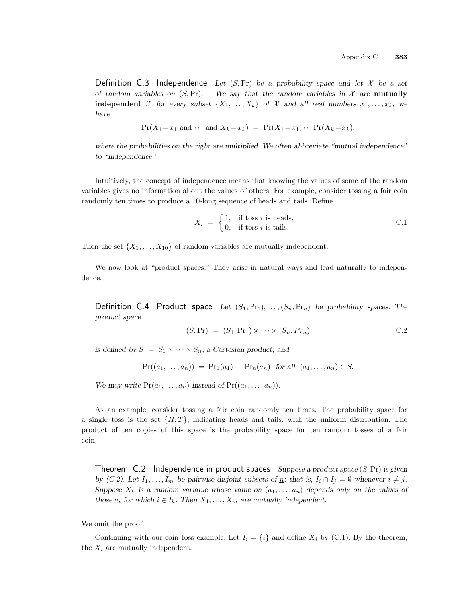**Definition C.3 Independence** Let  $(S, Pr)$  be a probability space and let X be a set of random variables on  $(S, Pr)$ . We say that the random variables in X are **mutually** We say that the random variables in  $\mathcal X$  are **mutually**. independent if, for every subset  $\{X_1, \ldots, X_k\}$  of X and all real numbers  $x_1, \ldots, x_k$ , we have

$$
Pr(X_1 = x_1 \text{ and } \cdots \text{ and } X_k = x_k) = Pr(X_1 = x_1) \cdots Pr(X_k = x_k),
$$

where the probabilities on the right are multiplied. We often abbreviate "mutual independence" to "independence."

Intuitively, the concept of independence means that knowing the values of some of the random variables gives no information about the values of others. For example, consider tossing a fair coin randomly ten times to produce a 10-long sequence of heads and tails. Define

$$
X_i = \begin{cases} 1, & \text{if toss } i \text{ is heads,} \\ 0, & \text{if toss } i \text{ is tails.} \end{cases} \tag{C.1}
$$

Then the set  $\{X_1, \ldots, X_{10}\}$  of random variables are mutually independent.

We now look at "product spaces." They arise in natural ways and lead naturally to independence.

Definition C.4 Product space Let  $(S_1, Pr_1), \ldots, (S_n, Pr_n)$  be probability spaces. The product space

$$
(S, \Pr) = (S_1, \Pr_1) \times \cdots \times (S_n, \Pr_n) \tag{C.2}
$$

is defined by  $S = S_1 \times \cdots \times S_n$ , a Cartesian product, and

$$
Pr((a_1,\ldots,a_n)) = Pr_1(a_1)\cdots Pr_n(a_n) \text{ for all } (a_1,\ldots,a_n) \in S.
$$

We may write  $Pr(a_1, \ldots, a_n)$  instead of  $Pr((a_1, \ldots, a_n))$ .

As an example, consider tossing a fair coin randomly ten times. The probability space for a single toss is the set  $\{H, T\}$ , indicating heads and tails, with the uniform distribution. The product of ten copies of this space is the probability space for ten random tosses of a fair coin.

Theorem C.2 Independence in product spaces Suppose a product space  $(S, Pr)$  is given by (C.2). Let  $I_1, \ldots, I_m$  be pairwise disjoint subsets of  $\underline{n}$ ; that is,  $I_i \cap I_j = \emptyset$  whenever  $i \neq j$ . Suppose  $X_k$  is a random variable whose value on  $(a_1, \ldots, a_n)$  depends only on the values of those  $a_i$  for which  $i \in I_k$ . Then  $X_1, \ldots, X_m$  are mutually independent.

We omit the proof.

Continuing with our coin toss example, Let  $I_i = \{i\}$  and define  $X_i$  by (C.1). By the theorem, the  $X_i$  are mutually independent.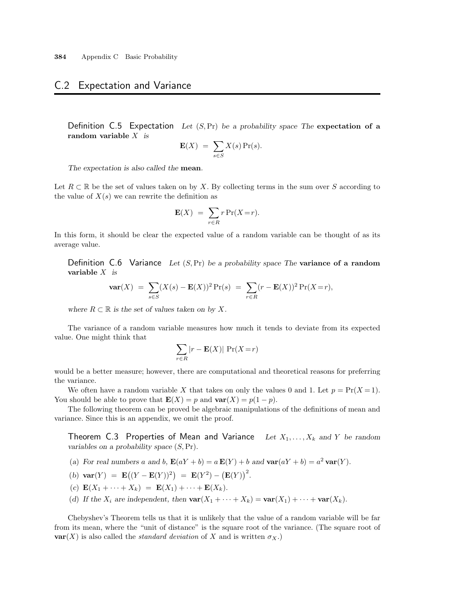### C.2 Expectation and Variance

Definition C.5 Expectation Let  $(S, Pr)$  be a probability space The expectation of a random variable  $X$  is

$$
\mathbf{E}(X) = \sum_{s \in S} X(s) \Pr(s).
$$

The expectation is also called the mean.

Let  $R \subset \mathbb{R}$  be the set of values taken on by X. By collecting terms in the sum over S according to the value of  $X(s)$  we can rewrite the definition as

$$
\mathbf{E}(X) = \sum_{r \in R} r \Pr(X = r).
$$

In this form, it should be clear the expected value of a random variable can be thought of as its average value.

Definition C.6 Variance Let  $(S, Pr)$  be a probability space The variance of a random variable  $X$  is

$$
\mathbf{var}(X) = \sum_{s \in S} (X(s) - \mathbf{E}(X))^2 \Pr(s) = \sum_{r \in R} (r - \mathbf{E}(X))^2 \Pr(X = r),
$$

where  $R \subset \mathbb{R}$  is the set of values taken on by X.

The variance of a random variable measures how much it tends to deviate from its expected value. One might think that

$$
\sum_{r \in R} |r - \mathbf{E}(X)| \Pr(X = r)
$$

would be a better measure; however, there are computational and theoretical reasons for preferring the variance.

We often have a random variable X that takes on only the values 0 and 1. Let  $p = Pr(X = 1)$ . You should be able to prove that  $\mathbf{E}(X) = p$  and  $\mathbf{var}(X) = p(1 - p)$ .

The following theorem can be proved be algebraic manipulations of the definitions of mean and variance. Since this is an appendix, we omit the proof.

Theorem C.3 Properties of Mean and Variance Let  $X_1, \ldots, X_k$  and Y be random variables on a probability space  $(S,Pr)$ .

- (a) For real numbers a and b,  $\mathbf{E}(aY + b) = a \mathbf{E}(Y) + b$  and  $\text{var}(aY + b) = a^2 \text{var}(Y)$ .
- (b)  $var(Y) = E((Y E(Y))^2) = E(Y^2) (E(Y))^2$ .
- (c)  $E(X_1 + \cdots + X_k) = E(X_1) + \cdots + E(X_k).$
- (d) If the  $X_i$  are independent, then  $\text{var}(X_1 + \cdots + X_k) = \text{var}(X_1) + \cdots + \text{var}(X_k)$ .

Chebyshev's Theorem tells us that it is unlikely that the value of a random variable will be far from its mean, where the "unit of distance" is the square root of the variance. (The square root of  $\mathbf{var}(X)$  is also called the *standard deviation* of X and is written  $\sigma_X$ .)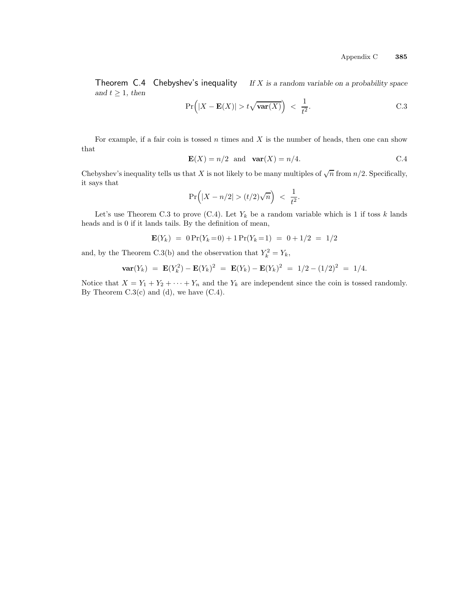Theorem C.4 Chebyshev's inequality If X is a random variable on a probability space and  $t \geq 1$ , then

$$
\Pr(|X - \mathbf{E}(X)| > t\sqrt{\text{var}(X)}) < \frac{1}{t^2}.\tag{C.3}
$$

For example, if a fair coin is tossed  $n$  times and  $X$  is the number of heads, then one can show that

$$
\mathbf{E}(X) = n/2 \quad \text{and} \quad \mathbf{var}(X) = n/4. \tag{C.4}
$$

Chebyshev's inequality tells us that X is not likely to be many multiples of  $\sqrt{n}$  from  $n/2$ . Specifically, it says that

$$
\Pr\Bigl(|X-n/2|>(t/2)\sqrt{n}\Bigr)~<~\frac{1}{t^2}.
$$

Let's use Theorem C.3 to prove (C.4). Let  $Y_k$  be a random variable which is 1 if toss k lands heads and is 0 if it lands tails. By the definition of mean,

$$
\mathbf{E}(Y_k) = 0 \Pr(Y_k = 0) + 1 \Pr(Y_k = 1) = 0 + 1/2 = 1/2
$$

and, by the Theorem C.3(b) and the observation that  $Y_k^2 = Y_k$ ,

$$
\mathbf{var}(Y_k) = \mathbf{E}(Y_k^2) - \mathbf{E}(Y_k)^2 = \mathbf{E}(Y_k) - \mathbf{E}(Y_k)^2 = 1/2 - (1/2)^2 = 1/4.
$$

Notice that  $X = Y_1 + Y_2 + \cdots + Y_n$  and the  $Y_k$  are independent since the coin is tossed randomly. By Theorem  $C.3(c)$  and (d), we have  $(C.4)$ .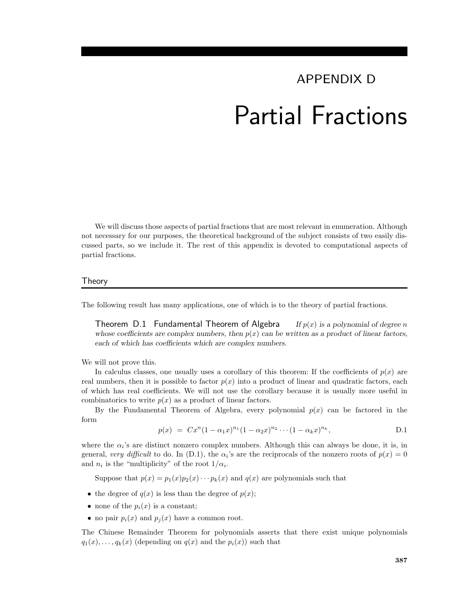## APPENDIX D

## Partial Fractions

We will discuss those aspects of partial fractions that are most relevant in enumeration. Although not necessary for our purposes, the theoretical background of the subject consists of two easily discussed parts, so we include it. The rest of this appendix is devoted to computational aspects of partial fractions.

### **Theory**

The following result has many applications, one of which is to the theory of partial fractions.

Theorem D.1 Fundamental Theorem of Algebra If  $p(x)$  is a polynomial of degree n whose coefficients are complex numbers, then  $p(x)$  can be written as a product of linear factors, each of which has coefficients which are complex numbers.

We will not prove this.

In calculus classes, one usually uses a corollary of this theorem: If the coefficients of  $p(x)$  are real numbers, then it is possible to factor  $p(x)$  into a product of linear and quadratic factors, each of which has real coefficients. We will not use the corollary because it is usually more useful in combinatorics to write  $p(x)$  as a product of linear factors.

By the Fundamental Theorem of Algebra, every polynomial  $p(x)$  can be factored in the form

$$
p(x) = Cx^{n}(1 - \alpha_1 x)^{n_1}(1 - \alpha_2 x)^{n_2} \cdots (1 - \alpha_k x)^{n_k}, \qquad \text{D.1}
$$

where the  $\alpha_i$ 's are distinct nonzero complex numbers. Although this can always be done, it is, in general, very difficult to do. In (D.1), the  $\alpha_i$ 's are the reciprocals of the nonzero roots of  $p(x) = 0$ and  $n_i$  is the "multiplicity" of the root  $1/\alpha_i$ .

Suppose that  $p(x) = p_1(x)p_2(x) \cdots p_k(x)$  and  $q(x)$  are polynomials such that

- the degree of  $q(x)$  is less than the degree of  $p(x)$ ;
- none of the  $p_i(x)$  is a constant;
- no pair  $p_i(x)$  and  $p_j(x)$  have a common root.

The Chinese Remainder Theorem for polynomials asserts that there exist unique polynomials  $q_1(x), \ldots, q_k(x)$  (depending on  $q(x)$  and the  $p_i(x)$ ) such that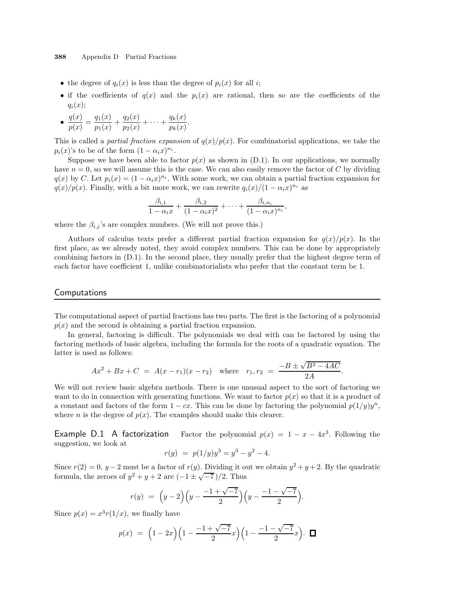- the degree of  $q_i(x)$  is less than the degree of  $p_i(x)$  for all i;
- if the coefficients of  $q(x)$  and the  $p_i(x)$  are rational, then so are the coefficients of the  $q_i(x);$

• 
$$
\frac{q(x)}{p(x)} = \frac{q_1(x)}{p_1(x)} + \frac{q_2(x)}{p_2(x)} + \cdots + \frac{q_k(x)}{p_k(x)}
$$
.

This is called a partial fraction expansion of  $q(x)/p(x)$ . For combinatorial applications, we take the  $p_i(x)$ 's to be of the form  $(1 - \alpha_i x)^{n_i}$ .

Suppose we have been able to factor  $p(x)$  as shown in  $(D.1)$ . In our applications, we normally have  $n = 0$ , so we will assume this is the case. We can also easily remove the factor of C by dividing  $q(x)$  by C. Let  $p_i(x) = (1 - \alpha_i x)^{n_i}$ . With some work, we can obtain a partial fraction expansion for  $q(x)/p(x)$ . Finally, with a bit more work, we can rewrite  $q_i(x)/(1 - \alpha_i x)^{n_i}$  as

$$
\frac{\beta_{i,1}}{1-\alpha_i x} + \frac{\beta_{i,2}}{(1-\alpha_i x)^2} + \dots + \frac{\beta_{i,n_i}}{(1-\alpha_i x)^{n_i}},
$$

where the  $\beta_{i,j}$ 's are complex numbers. (We will not prove this.)

Authors of calculus texts prefer a different partial fraction expansion for  $q(x)/p(x)$ . In the first place, as we already noted, they avoid complex numbers. This can be done by appropriately combining factors in (D.1). In the second place, they usually prefer that the highest degree term of each factor have coefficient 1, unlike combinatorialists who prefer that the constant term be 1.

#### **Computations**

The computational aspect of partial fractions has two parts. The first is the factoring of a polynomial  $p(x)$  and the second is obtaining a partial fraction expansion.

In general, factoring is difficult. The polynomials we deal with can be factored by using the factoring methods of basic algebra, including the formula for the roots of a quadratic equation. The latter is used as follows:

$$
Ax^{2} + Bx + C = A(x - r_{1})(x - r_{2}) \quad \text{where} \quad r_{1}, r_{2} = \frac{-B \pm \sqrt{B^{2} - 4AC}}{2A}.
$$

We will not review basic algebra methods. There is one unusual aspect to the sort of factoring we want to do in connection with generating functions. We want to factor  $p(x)$  so that it is a product of a constant and factors of the form  $1 - cx$ . This can be done by factoring the polynomial  $p(1/y)y^n$ , where *n* is the degree of  $p(x)$ . The examples should make this clearer.

Example D.1 A factorization Factor the polynomial  $p(x) = 1 - x - 4x^3$ . Following the suggestion, we look at

$$
r(y) = p(1/y)y^3 = y^3 - y^2 - 4.
$$

Since  $r(2) = 0$ ,  $y - 2$  must be a factor of  $r(y)$ . Dividing it out we obtain  $y^2 + y + 2$ . By the quadratic formula, the zeroes of  $y^2 + y + 2$  are  $\left(-1 \pm \sqrt{-7}\right)/2$ . Thus

$$
r(y) = \left(y - 2\right)\left(y - \frac{-1 + \sqrt{-7}}{2}\right)\left(y - \frac{-1 - \sqrt{-7}}{2}\right).
$$

Since  $p(x) = x^3 r(1/x)$ , we finally have

$$
p(x) = \left(1 - 2x\right)\left(1 - \frac{-1 + \sqrt{-7}}{2}x\right)\left(1 - \frac{-1 - \sqrt{-7}}{2}x\right). \quad \Box
$$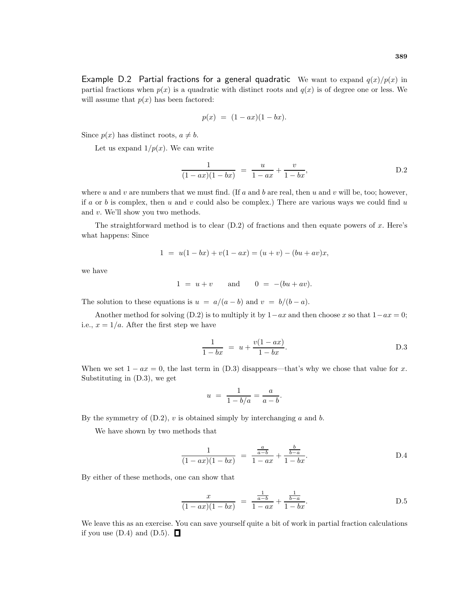Example D.2 Partial fractions for a general quadratic We want to expand  $q(x)/p(x)$  in partial fractions when  $p(x)$  is a quadratic with distinct roots and  $q(x)$  is of degree one or less. We will assume that  $p(x)$  has been factored:

$$
p(x) = (1 - ax)(1 - bx).
$$

Since  $p(x)$  has distinct roots,  $a \neq b$ .

Let us expand  $1/p(x)$ . We can write

$$
\frac{1}{(1 - ax)(1 - bx)} = \frac{u}{1 - ax} + \frac{v}{1 - bx},
$$
 D.2

where u and v are numbers that we must find. (If a and b are real, then u and v will be, too; however, if a or b is complex, then u and v could also be complex.) There are various ways we could find  $u$ and v. We'll show you two methods.

The straightforward method is to clear  $(D.2)$  of fractions and then equate powers of x. Here's what happens: Since

$$
1 = u(1 - bx) + v(1 - ax) = (u + v) - (bu + av)x,
$$

we have

$$
1 = u + v \qquad \text{and} \qquad 0 = -(bu + av).
$$

The solution to these equations is  $u = a/(a - b)$  and  $v = b/(b - a)$ .

Another method for solving (D.2) is to multiply it by  $1-ax$  and then choose x so that  $1-ax = 0$ ; i.e.,  $x = 1/a$ . After the first step we have

$$
\frac{1}{1 - bx} = u + \frac{v(1 - ax)}{1 - bx}.
$$
 D.3

When we set  $1 - ax = 0$ , the last term in (D.3) disappears—that's why we chose that value for x. Substituting in (D.3), we get

$$
u = \frac{1}{1 - b/a} = \frac{a}{a - b}.
$$

By the symmetry of  $(D.2)$ , v is obtained simply by interchanging a and b.

We have shown by two methods that

$$
\frac{1}{(1 - ax)(1 - bx)} = \frac{\frac{a}{a - b}}{1 - ax} + \frac{\frac{b}{b - a}}{1 - bx}.
$$
 D.4

By either of these methods, one can show that

$$
\frac{x}{(1 - ax)(1 - bx)} = \frac{\frac{1}{a - b}}{1 - ax} + \frac{\frac{1}{b - a}}{1 - bx}.
$$
 D.5

We leave this as an exercise. You can save yourself quite a bit of work in partial fraction calculations if you use  $(D.4)$  and  $(D.5)$ .  $\Box$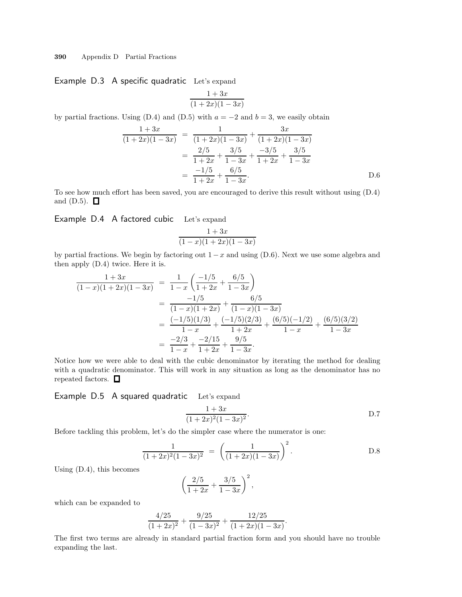Example D.3 A specific quadratic Let's expand

$$
\frac{1+3x}{(1+2x)(1-3x)}
$$

by partial fractions. Using (D.4) and (D.5) with  $a = -2$  and  $b = 3$ , we easily obtain

$$
\frac{1+3x}{(1+2x)(1-3x)} = \frac{1}{(1+2x)(1-3x)} + \frac{3x}{(1+2x)(1-3x)}
$$

$$
= \frac{2/5}{1+2x} + \frac{3/5}{1-3x} + \frac{-3/5}{1+2x} + \frac{3/5}{1-3x}
$$

$$
= \frac{-1/5}{1+2x} + \frac{6/5}{1-3x}.
$$
 D.6

To see how much effort has been saved, you are encouraged to derive this result without using (D.4) and  $(D.5)$ .  $\Box$ 

Example D.4 A factored cubic Let's expand

$$
\frac{1+3x}{(1-x)(1+2x)(1-3x)}
$$

by partial fractions. We begin by factoring out  $1-x$  and using (D.6). Next we use some algebra and then apply (D.4) twice. Here it is.

$$
\frac{1+3x}{(1-x)(1+2x)(1-3x)} = \frac{1}{1-x} \left( \frac{-1/5}{1+2x} + \frac{6/5}{1-3x} \right)
$$
  
= 
$$
\frac{-1/5}{(1-x)(1+2x)} + \frac{6/5}{(1-x)(1-3x)}
$$
  
= 
$$
\frac{(-1/5)(1/3)}{1-x} + \frac{(-1/5)(2/3)}{1+2x} + \frac{(6/5)(-1/2)}{1-x} + \frac{(6/5)(3/2)}{1-3x}
$$
  
= 
$$
\frac{-2/3}{1-x} + \frac{-2/15}{1+2x} + \frac{9/5}{1-3x}.
$$

Notice how we were able to deal with the cubic denominator by iterating the method for dealing with a quadratic denominator. This will work in any situation as long as the denominator has no repeated factors.  $\Box$ 

Example D.5 A squared quadratic Let's expand

$$
\frac{1+3x}{(1+2x)^2(1-3x)^2}.
$$
 D.7

Before tackling this problem, let's do the simpler case where the numerator is one:

$$
\frac{1}{(1+2x)^2(1-3x)^2} = \left(\frac{1}{(1+2x)(1-3x)}\right)^2.
$$
 D.8

Using (D.4), this becomes

$$
\left(\frac{2/5}{1+2x} + \frac{3/5}{1-3x}\right)^2,
$$

which can be expanded to

$$
\frac{4/25}{(1+2x)^2} + \frac{9/25}{(1-3x)^2} + \frac{12/25}{(1+2x)(1-3x)}.
$$

The first two terms are already in standard partial fraction form and you should have no trouble expanding the last.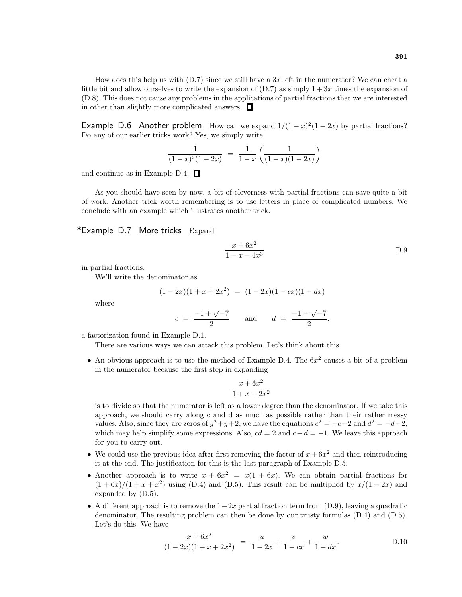How does this help us with  $(D.7)$  since we still have a 3x left in the numerator? We can cheat a little bit and allow ourselves to write the expansion of  $(D.7)$  as simply  $1+3x$  times the expansion of (D.8). This does not cause any problems in the applications of partial fractions that we are interested in other than slightly more complicated answers.  $\Box$ 

Example D.6 Another problem How can we expand  $1/(1-x)^2(1-2x)$  by partial fractions? Do any of our earlier tricks work? Yes, we simply write

$$
\frac{1}{(1-x)^2(1-2x)} = \frac{1}{1-x} \left( \frac{1}{(1-x)(1-2x)} \right)
$$

and continue as in Example D.4.  $\Box$ 

As you should have seen by now, a bit of cleverness with partial fractions can save quite a bit of work. Another trick worth remembering is to use letters in place of complicated numbers. We conclude with an example which illustrates another trick.

\*Example D.7 More tricks Expand

$$
\frac{x + 6x^2}{1 - x - 4x^3}
$$
 D.9

in partial fractions.

We'll write the denominator as

$$
(1 - 2x)(1 + x + 2x2) = (1 - 2x)(1 - cx)(1 - dx)
$$

where

$$
c = \frac{-1 + \sqrt{-7}}{2}
$$
 and  $d = \frac{-1 - \sqrt{-7}}{2}$ ,

a factorization found in Example D.1.

There are various ways we can attack this problem. Let's think about this.

• An obvious approach is to use the method of Example D.4. The  $6x^2$  causes a bit of a problem in the numerator because the first step in expanding

$$
\frac{x + 6x^2}{1 + x + 2x^2}
$$

is to divide so that the numerator is left as a lower degree than the denominator. If we take this approach, we should carry along c and d as much as possible rather than their rather messy values. Also, since they are zeros of  $y^2 + y + 2$ , we have the equations  $c^2 = -c-2$  and  $d^2 = -d-2$ , which may help simplify some expressions. Also,  $cd = 2$  and  $c + d = -1$ . We leave this approach for you to carry out.

- We could use the previous idea after first removing the factor of  $x + 6x^2$  and then reintroducing it at the end. The justification for this is the last paragraph of Example D.5.
- Another approach is to write  $x + 6x^2 = x(1 + 6x)$ . We can obtain partial fractions for  $(1+6x)/(1+x+x^2)$  using (D.4) and (D.5). This result can be multiplied by  $x/(1-2x)$  and expanded by (D.5).
- A different approach is to remove the  $1-2x$  partial fraction term from (D.9), leaving a quadratic denominator. The resulting problem can then be done by our trusty formulas (D.4) and (D.5). Let's do this. We have

$$
\frac{x + 6x^2}{(1 - 2x)(1 + x + 2x^2)} = \frac{u}{1 - 2x} + \frac{v}{1 - cx} + \frac{w}{1 - dx}.
$$
 D.10